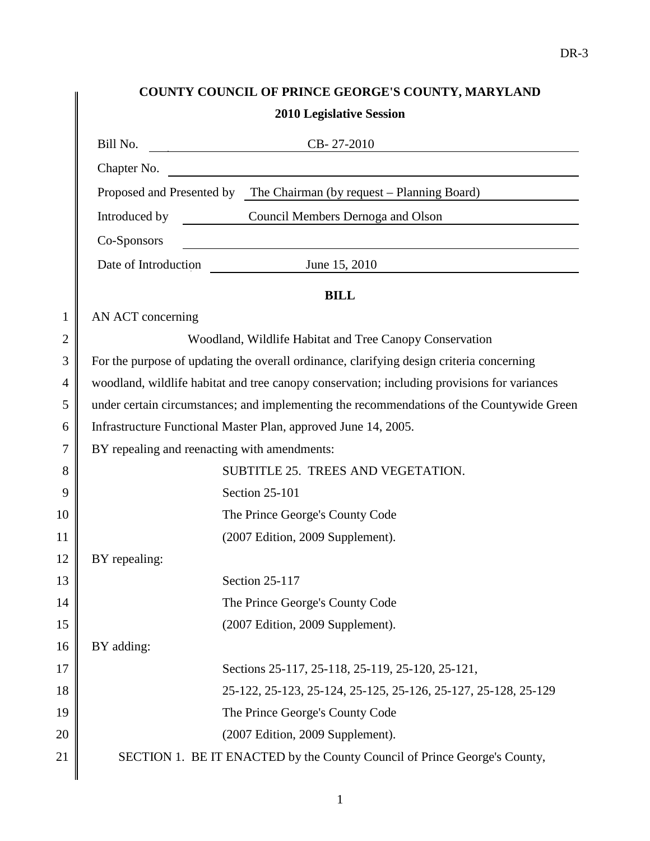# **COUNTY COUNCIL OF PRINCE GEORGE'S COUNTY, MARYLAND**

|                |                                              | COUNTY COUNCIL OF PRINCE GEORGE 5 COUNTY, MARYLAND<br><b>2010 Legislative Session</b>                                  |
|----------------|----------------------------------------------|------------------------------------------------------------------------------------------------------------------------|
|                |                                              |                                                                                                                        |
|                | Bill No.                                     | $CB-27-2010$                                                                                                           |
|                |                                              | Chapter No.                                                                                                            |
|                |                                              | Proposed and Presented by The Chairman (by request – Planning Board)                                                   |
|                |                                              | Introduced by Council Members Dernoga and Olson                                                                        |
|                | Co-Sponsors                                  | <u> 1989 - Johann Stoff, deutscher Stoffen und der Stoffen und der Stoffen und der Stoffen und der Stoffen und der</u> |
|                |                                              | Date of Introduction June 15, 2010                                                                                     |
|                |                                              | <b>BILL</b>                                                                                                            |
| $\mathbf{1}$   | AN ACT concerning                            |                                                                                                                        |
| $\overline{2}$ |                                              | Woodland, Wildlife Habitat and Tree Canopy Conservation                                                                |
| 3              |                                              | For the purpose of updating the overall ordinance, clarifying design criteria concerning                               |
| $\overline{4}$ |                                              | woodland, wildlife habitat and tree canopy conservation; including provisions for variances                            |
| 5              |                                              | under certain circumstances; and implementing the recommendations of the Countywide Green                              |
| 6              |                                              | Infrastructure Functional Master Plan, approved June 14, 2005.                                                         |
| 7              | BY repealing and reenacting with amendments: |                                                                                                                        |
| 8              |                                              | SUBTITLE 25. TREES AND VEGETATION.                                                                                     |
| 9              |                                              | Section 25-101                                                                                                         |
| 10             |                                              | The Prince George's County Code                                                                                        |
| 11             |                                              | (2007 Edition, 2009 Supplement).                                                                                       |
| 12             | BY repealing:                                |                                                                                                                        |
| 13             |                                              | Section 25-117                                                                                                         |
| 14             |                                              | The Prince George's County Code                                                                                        |
| 15             |                                              | (2007 Edition, 2009 Supplement).                                                                                       |
| 16             | BY adding:                                   |                                                                                                                        |
| 17             |                                              | Sections 25-117, 25-118, 25-119, 25-120, 25-121,                                                                       |
| 18             |                                              | 25-122, 25-123, 25-124, 25-125, 25-126, 25-127, 25-128, 25-129                                                         |
| 19             |                                              | The Prince George's County Code                                                                                        |
| 20             |                                              | (2007 Edition, 2009 Supplement).                                                                                       |
| 21             |                                              | SECTION 1. BE IT ENACTED by the County Council of Prince George's County,                                              |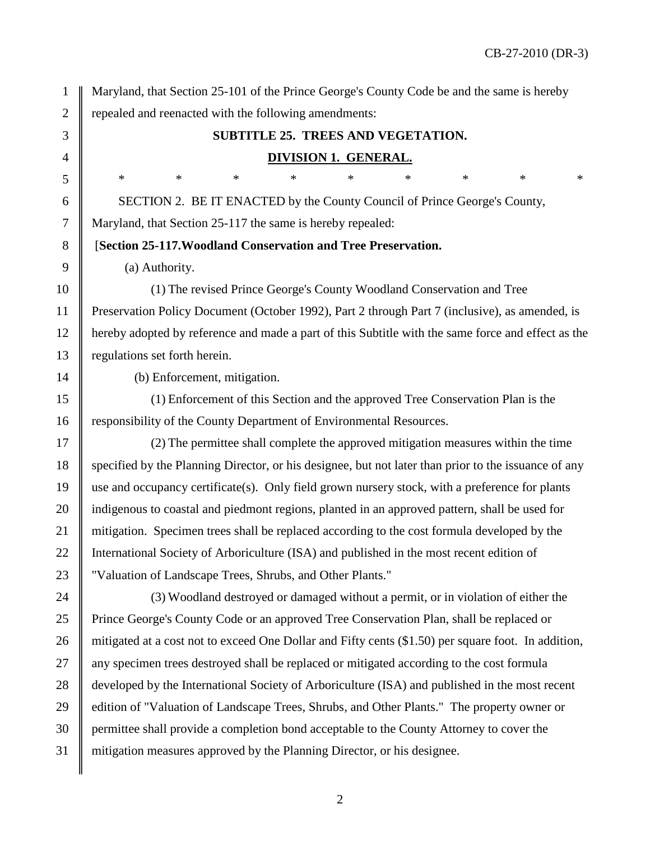1 Maryland, that Section 25-101 of the Prince George's County Code be and the same is hereby 2 | repealed and reenacted with the following amendments:

## 3 **SUBTITLE 25. TREES AND VEGETATION.** 4 **DIVISION 1. GENERAL.**

6 SECTION 2. BE IT ENACTED by the County Council of Prince George's County, 7 Maryland, that Section 25-117 the same is hereby repealed:

8 [**Section 25-117.Woodland Conservation and Tree Preservation.** 

9  $\parallel$  (a) Authority.

10 (1) The revised Prince George's County Woodland Conservation and Tree 11 Preservation Policy Document (October 1992), Part 2 through Part 7 (inclusive), as amended, is 12 hereby adopted by reference and made a part of this Subtitle with the same force and effect as the 13 regulations set forth herein.

14 (b) Enforcement, mitigation.

15 (1) Enforcement of this Section and the approved Tree Conservation Plan is the 16 **responsibility of the County Department of Environmental Resources.** 

17 (2) The permittee shall complete the approved mitigation measures within the time 18 specified by the Planning Director, or his designee, but not later than prior to the issuance of any  $19 \parallel$  use and occupancy certificate(s). Only field grown nursery stock, with a preference for plants 20 indigenous to coastal and piedmont regions, planted in an approved pattern, shall be used for 21 mitigation. Specimen trees shall be replaced according to the cost formula developed by the 22 | International Society of Arboriculture (ISA) and published in the most recent edition of 23 | "Valuation of Landscape Trees, Shrubs, and Other Plants."

24 (3) Woodland destroyed or damaged without a permit, or in violation of either the 25 Prince George's County Code or an approved Tree Conservation Plan, shall be replaced or 26 mitigated at a cost not to exceed One Dollar and Fifty cents (\$1.50) per square foot. In addition, 27 any specimen trees destroyed shall be replaced or mitigated according to the cost formula 28 developed by the International Society of Arboriculture (ISA) and published in the most recent 29 cdition of "Valuation of Landscape Trees, Shrubs, and Other Plants." The property owner or 30 permittee shall provide a completion bond acceptable to the County Attorney to cover the 31 mitigation measures approved by the Planning Director, or his designee.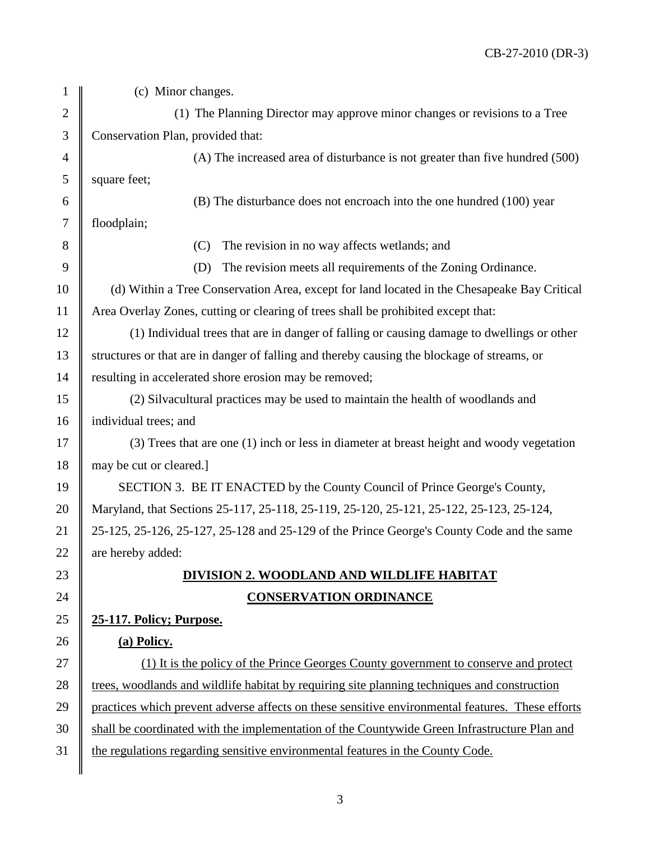| $\mathbf{1}$   | (c) Minor changes.                                                                               |
|----------------|--------------------------------------------------------------------------------------------------|
| $\mathbf{2}$   | (1) The Planning Director may approve minor changes or revisions to a Tree                       |
| $\mathfrak{Z}$ | Conservation Plan, provided that:                                                                |
| $\overline{4}$ | (A) The increased area of disturbance is not greater than five hundred (500)                     |
| 5              | square feet;                                                                                     |
| 6              | (B) The disturbance does not encroach into the one hundred (100) year                            |
| $\tau$         | floodplain;                                                                                      |
| 8              | The revision in no way affects wetlands; and<br>(C)                                              |
| 9              | The revision meets all requirements of the Zoning Ordinance.<br>(D)                              |
| 10             | (d) Within a Tree Conservation Area, except for land located in the Chesapeake Bay Critical      |
| 11             | Area Overlay Zones, cutting or clearing of trees shall be prohibited except that:                |
| 12             | (1) Individual trees that are in danger of falling or causing damage to dwellings or other       |
| 13             | structures or that are in danger of falling and thereby causing the blockage of streams, or      |
| 14             | resulting in accelerated shore erosion may be removed;                                           |
| 15             | (2) Silvacultural practices may be used to maintain the health of woodlands and                  |
| 16             | individual trees; and                                                                            |
| 17             | (3) Trees that are one (1) inch or less in diameter at breast height and woody vegetation        |
| 18             | may be cut or cleared.]                                                                          |
| 19             | SECTION 3. BE IT ENACTED by the County Council of Prince George's County,                        |
| 20             | Maryland, that Sections 25-117, 25-118, 25-119, 25-120, 25-121, 25-122, 25-123, 25-124,          |
| 21             | 25-125, 25-126, 25-127, 25-128 and 25-129 of the Prince George's County Code and the same        |
| 22             | are hereby added:                                                                                |
| 23             | DIVISION 2. WOODLAND AND WILDLIFE HABITAT                                                        |
| 24             | <b>CONSERVATION ORDINANCE</b>                                                                    |
| 25             | 25-117. Policy; Purpose.                                                                         |
| 26             | (a) Policy.                                                                                      |
| 27             | (1) It is the policy of the Prince Georges County government to conserve and protect             |
| 28             | trees, woodlands and wildlife habitat by requiring site planning techniques and construction     |
| 29             | practices which prevent adverse affects on these sensitive environmental features. These efforts |
| 30             | shall be coordinated with the implementation of the Countywide Green Infrastructure Plan and     |
| 31             | the regulations regarding sensitive environmental features in the County Code.                   |
|                |                                                                                                  |

3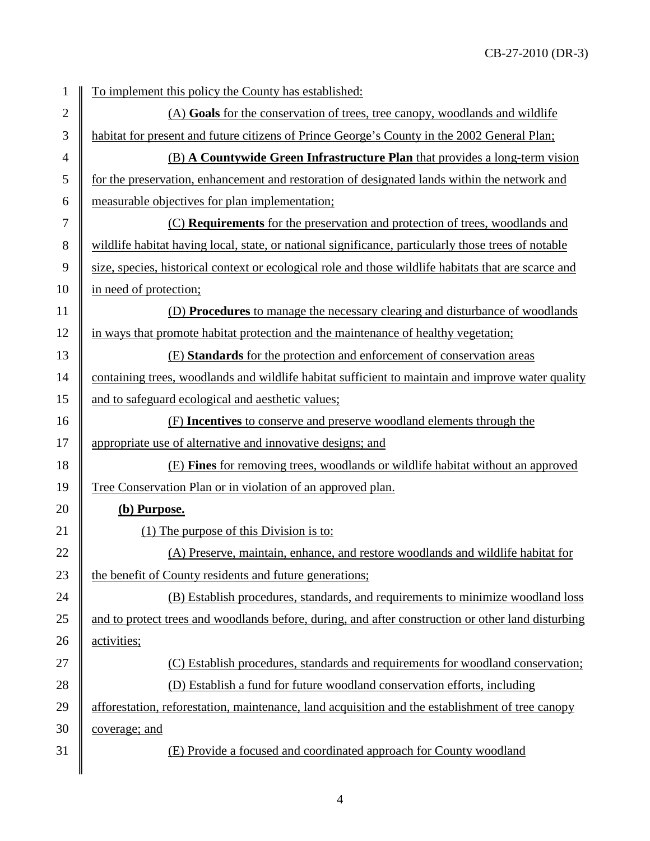| $\mathbf{1}$   | To implement this policy the County has established:                                                 |
|----------------|------------------------------------------------------------------------------------------------------|
| $\mathbf{2}$   | (A) Goals for the conservation of trees, tree canopy, woodlands and wildlife                         |
| 3              | habitat for present and future citizens of Prince George's County in the 2002 General Plan;          |
| $\overline{4}$ | (B) A Countywide Green Infrastructure Plan that provides a long-term vision                          |
| 5              | for the preservation, enhancement and restoration of designated lands within the network and         |
| 6              | measurable objectives for plan implementation;                                                       |
| 7              | (C) <b>Requirements</b> for the preservation and protection of trees, woodlands and                  |
| 8              | wildlife habitat having local, state, or national significance, particularly those trees of notable  |
| 9              | size, species, historical context or ecological role and those wildlife habitats that are scarce and |
| 10             | in need of protection;                                                                               |
| 11             | (D) <b>Procedures</b> to manage the necessary clearing and disturbance of woodlands                  |
| 12             | in ways that promote habitat protection and the maintenance of healthy vegetation;                   |
| 13             | (E) Standards for the protection and enforcement of conservation areas                               |
| 14             | containing trees, woodlands and wildlife habitat sufficient to maintain and improve water quality    |
| 15             | and to safeguard ecological and aesthetic values;                                                    |
| 16             | (F) Incentives to conserve and preserve woodland elements through the                                |
| 17             | appropriate use of alternative and innovative designs; and                                           |
| 18             | (E) Fines for removing trees, woodlands or wildlife habitat without an approved                      |
| 19             | Tree Conservation Plan or in violation of an approved plan.                                          |
| 20             | (b) Purpose.                                                                                         |
| 21             | (1) The purpose of this Division is to:                                                              |
| 22             | (A) Preserve, maintain, enhance, and restore woodlands and wildlife habitat for                      |
| 23             | the benefit of County residents and future generations;                                              |
| 24             | (B) Establish procedures, standards, and requirements to minimize woodland loss                      |
| 25             | and to protect trees and woodlands before, during, and after construction or other land disturbing   |
| 26             | activities;                                                                                          |
| 27             | (C) Establish procedures, standards and requirements for woodland conservation;                      |
| 28             | (D) Establish a fund for future woodland conservation efforts, including                             |
| 29             | afforestation, reforestation, maintenance, land acquisition and the establishment of tree canopy     |
| 30             | <u>coverage; and</u>                                                                                 |
| 31             | (E) Provide a focused and coordinated approach for County woodland                                   |
|                |                                                                                                      |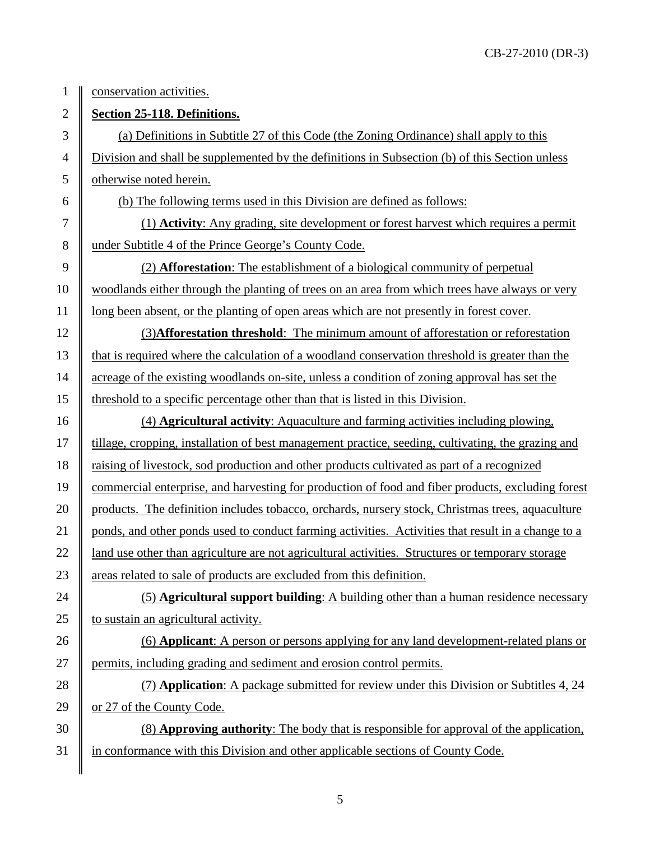1 | conservation activities.

2 **Section 25-118. Definitions.** 

 $3 \parallel$  (a) Definitions in Subtitle 27 of this Code (the Zoning Ordinance) shall apply to this 4 Division and shall be supplemented by the definitions in Subsection (b) of this Section unless 5 | otherwise noted herein.

6 (b) The following terms used in this Division are defined as follows:

7 (1) **Activity**: Any grading, site development or forest harvest which requires a permit 8 under Subtitle 4 of the Prince George's County Code.

9 (2) **Afforestation**: The establishment of a biological community of perpetual 10 woodlands either through the planting of trees on an area from which trees have always or very 11 | long been absent, or the planting of open areas which are not presently in forest cover.

12 (3)**Afforestation threshold**: The minimum amount of afforestation or reforestation 13 that is required where the calculation of a woodland conservation threshold is greater than the 14 acreage of the existing woodlands on-site, unless a condition of zoning approval has set the 15 threshold to a specific percentage other than that is listed in this Division.

16 (4) **Agricultural activity**: Aquaculture and farming activities including plowing, 17 | tillage, cropping, installation of best management practice, seeding, cultivating, the grazing and 18 raising of livestock, sod production and other products cultivated as part of a recognized 19 commercial enterprise, and harvesting for production of food and fiber products, excluding forest 20 products. The definition includes tobacco, orchards, nursery stock, Christmas trees, aquaculture 21 ponds, and other ponds used to conduct farming activities. Activities that result in a change to a 22 | 1 and use other than agriculture are not agricultural activities. Structures or temporary storage 23 areas related to sale of products are excluded from this definition.

24  $\parallel$  (5) **Agricultural support building**: A building other than a human residence necessary 25  $\parallel$  to sustain an agricultural activity.

26 (6) **Applicant**: A person or persons applying for any land development-related plans or 27 permits, including grading and sediment and erosion control permits.

28 (7) **Application**: A package submitted for review under this Division or Subtitles 4, 24 29  $\parallel$  or 27 of the County Code.

30 (8) **Approving authority**: The body that is responsible for approval of the application, 31 in conformance with this Division and other applicable sections of County Code.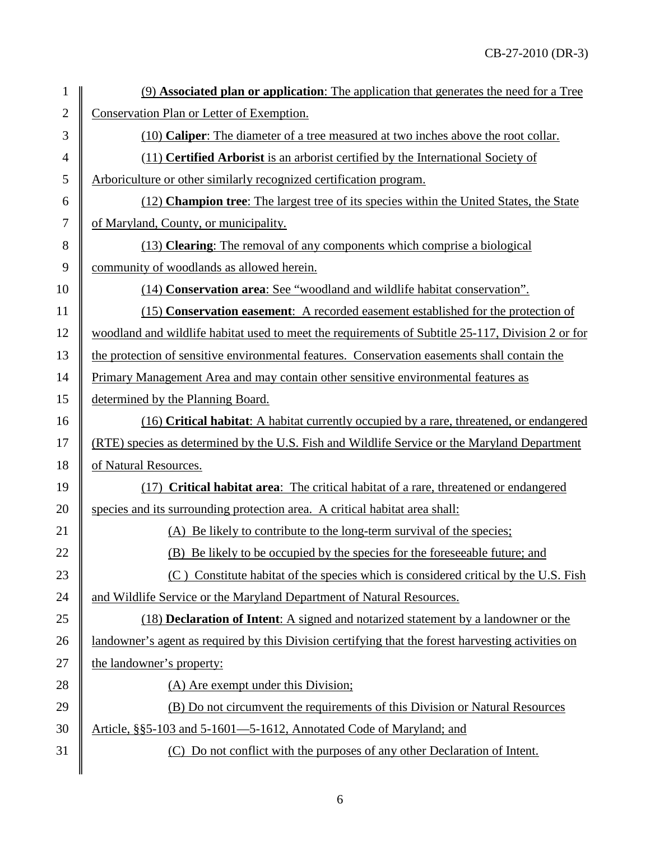| 1              | (9) Associated plan or application: The application that generates the need for a Tree             |
|----------------|----------------------------------------------------------------------------------------------------|
| $\mathbf{2}$   | Conservation Plan or Letter of Exemption.                                                          |
| 3              | (10) <b>Caliper</b> : The diameter of a tree measured at two inches above the root collar.         |
| $\overline{4}$ | (11) Certified Arborist is an arborist certified by the International Society of                   |
| 5              | Arboriculture or other similarly recognized certification program.                                 |
| 6              | (12) Champion tree: The largest tree of its species within the United States, the State            |
| $\tau$         | of Maryland, County, or municipality.                                                              |
| $8\,$          | (13) Clearing: The removal of any components which comprise a biological                           |
| $\overline{9}$ | community of woodlands as allowed herein.                                                          |
| 10             | (14) Conservation area: See "woodland and wildlife habitat conservation".                          |
| 11             | (15) Conservation easement: A recorded easement established for the protection of                  |
| 12             | woodland and wildlife habitat used to meet the requirements of Subtitle 25-117, Division 2 or for  |
| 13             | the protection of sensitive environmental features. Conservation easements shall contain the       |
| 14             | Primary Management Area and may contain other sensitive environmental features as                  |
| 15             | determined by the Planning Board.                                                                  |
| 16             | (16) Critical habitat: A habitat currently occupied by a rare, threatened, or endangered           |
| 17             | (RTE) species as determined by the U.S. Fish and Wildlife Service or the Maryland Department       |
| 18             | of Natural Resources.                                                                              |
| 19             | <b>Critical habitat area:</b> The critical habitat of a rare, threatened or endangered<br>(17)     |
| 20             | species and its surrounding protection area. A critical habitat area shall:                        |
| 21             | (A) Be likely to contribute to the long-term survival of the species;                              |
| 22             | (B) Be likely to be occupied by the species for the foreseeable future; and                        |
| 23             | (C) Constitute habitat of the species which is considered critical by the U.S. Fish                |
| 24             | and Wildlife Service or the Maryland Department of Natural Resources.                              |
| 25             | (18) Declaration of Intent: A signed and notarized statement by a landowner or the                 |
| 26             | landowner's agent as required by this Division certifying that the forest harvesting activities on |
| 27             | the landowner's property:                                                                          |
| 28             | (A) Are exempt under this Division;                                                                |
| 29             | (B) Do not circumvent the requirements of this Division or Natural Resources                       |
| 30             | Article, §§5-103 and 5-1601—5-1612, Annotated Code of Maryland; and                                |
| 31             | (C) Do not conflict with the purposes of any other Declaration of Intent.                          |
|                |                                                                                                    |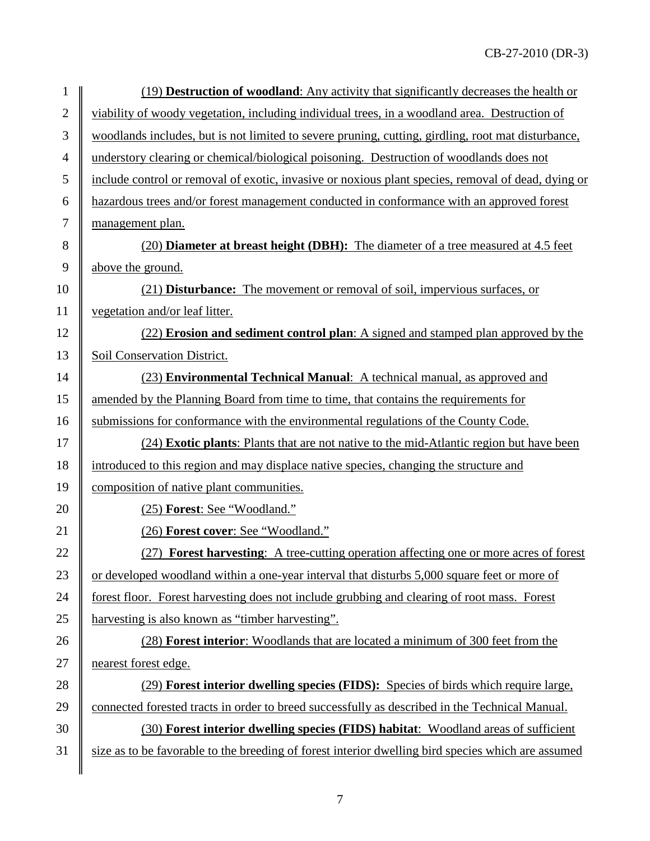| $\mathbf{1}$   | (19) <b>Destruction of woodland</b> : Any activity that significantly decreases the health or      |
|----------------|----------------------------------------------------------------------------------------------------|
| $\overline{2}$ | viability of woody vegetation, including individual trees, in a woodland area. Destruction of      |
| 3              | woodlands includes, but is not limited to severe pruning, cutting, girdling, root mat disturbance, |
| 4              | understory clearing or chemical/biological poisoning. Destruction of woodlands does not            |
| 5              | include control or removal of exotic, invasive or noxious plant species, removal of dead, dying or |
| 6              | hazardous trees and/or forest management conducted in conformance with an approved forest          |
| 7              | management plan.                                                                                   |
| 8              | (20) <b>Diameter at breast height (DBH):</b> The diameter of a tree measured at 4.5 feet           |
| 9              | above the ground.                                                                                  |
| 10             | (21) Disturbance: The movement or removal of soil, impervious surfaces, or                         |
| 11             | vegetation and/or leaf litter.                                                                     |
| 12             | (22) Erosion and sediment control plan: A signed and stamped plan approved by the                  |
| 13             | Soil Conservation District.                                                                        |
| 14             | (23) Environmental Technical Manual: A technical manual, as approved and                           |
| 15             | amended by the Planning Board from time to time, that contains the requirements for                |
| 16             | submissions for conformance with the environmental regulations of the County Code.                 |
| 17             | (24) Exotic plants: Plants that are not native to the mid-Atlantic region but have been            |
| 18             | introduced to this region and may displace native species, changing the structure and              |
| 19             | composition of native plant communities.                                                           |
| 20             | (25) Forest: See "Woodland."                                                                       |
| 21             | (26) Forest cover: See "Woodland."                                                                 |
| 22             | (27) Forest harvesting: A tree-cutting operation affecting one or more acres of forest             |
| 23             | or developed woodland within a one-year interval that disturbs 5,000 square feet or more of        |
| 24             | forest floor. Forest harvesting does not include grubbing and clearing of root mass. Forest        |
| 25             | harvesting is also known as "timber harvesting".                                                   |
| 26             | (28) Forest interior: Woodlands that are located a minimum of 300 feet from the                    |
| 27             | nearest forest edge.                                                                               |
| 28             | (29) Forest interior dwelling species (FIDS): Species of birds which require large,                |
| 29             | connected forested tracts in order to breed successfully as described in the Technical Manual.     |
| 30             | (30) Forest interior dwelling species (FIDS) habitat: Woodland areas of sufficient                 |
| 31             | size as to be favorable to the breeding of forest interior dwelling bird species which are assumed |
|                |                                                                                                    |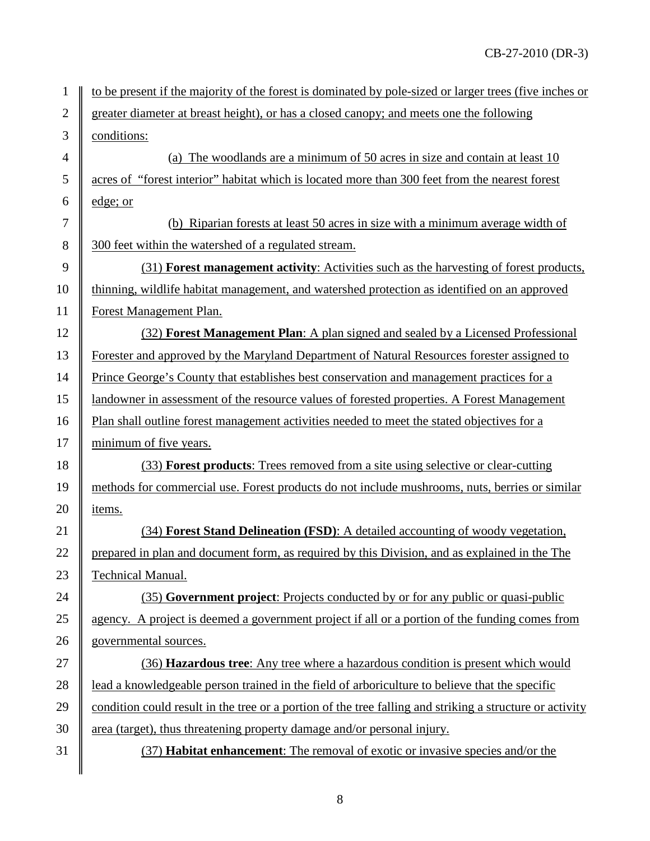| $\mathbf{1}$   | to be present if the majority of the forest is dominated by pole-sized or larger trees (five inches or   |
|----------------|----------------------------------------------------------------------------------------------------------|
| $\overline{2}$ | greater diameter at breast height), or has a closed canopy; and meets one the following                  |
| 3              | conditions:                                                                                              |
| $\overline{4}$ | (a) The woodlands are a minimum of 50 acres in size and contain at least 10                              |
| 5              | acres of "forest interior" habitat which is located more than 300 feet from the nearest forest           |
| 6              | edge; or                                                                                                 |
| 7              | (b) Riparian forests at least 50 acres in size with a minimum average width of                           |
| 8              | 300 feet within the watershed of a regulated stream.                                                     |
| 9              | (31) Forest management activity: Activities such as the harvesting of forest products,                   |
| 10             | thinning, wildlife habitat management, and watershed protection as identified on an approved             |
| 11             | Forest Management Plan.                                                                                  |
| 12             | (32) Forest Management Plan: A plan signed and sealed by a Licensed Professional                         |
| 13             | Forester and approved by the Maryland Department of Natural Resources forester assigned to               |
| 14             | Prince George's County that establishes best conservation and management practices for a                 |
| 15             | landowner in assessment of the resource values of forested properties. A Forest Management               |
| 16             | Plan shall outline forest management activities needed to meet the stated objectives for a               |
| 17             | minimum of five years.                                                                                   |
| 18             | (33) Forest products: Trees removed from a site using selective or clear-cutting                         |
| 19             | methods for commercial use. Forest products do not include mushrooms, nuts, berries or similar           |
| 20             | items.                                                                                                   |
| 21             | (34) Forest Stand Delineation (FSD): A detailed accounting of woody vegetation,                          |
| 22             | prepared in plan and document form, as required by this Division, and as explained in the The            |
| 23             | <b>Technical Manual.</b>                                                                                 |
| 24             | (35) Government project: Projects conducted by or for any public or quasi-public                         |
| 25             | agency. A project is deemed a government project if all or a portion of the funding comes from           |
| 26             | governmental sources.                                                                                    |
| 27             | (36) Hazardous tree: Any tree where a hazardous condition is present which would                         |
| 28             | lead a knowledgeable person trained in the field of arboriculture to believe that the specific           |
| 29             | condition could result in the tree or a portion of the tree falling and striking a structure or activity |
| 30             | area (target), thus threatening property damage and/or personal injury.                                  |
| 31             | (37) <b>Habitat enhancement</b> : The removal of exotic or invasive species and/or the                   |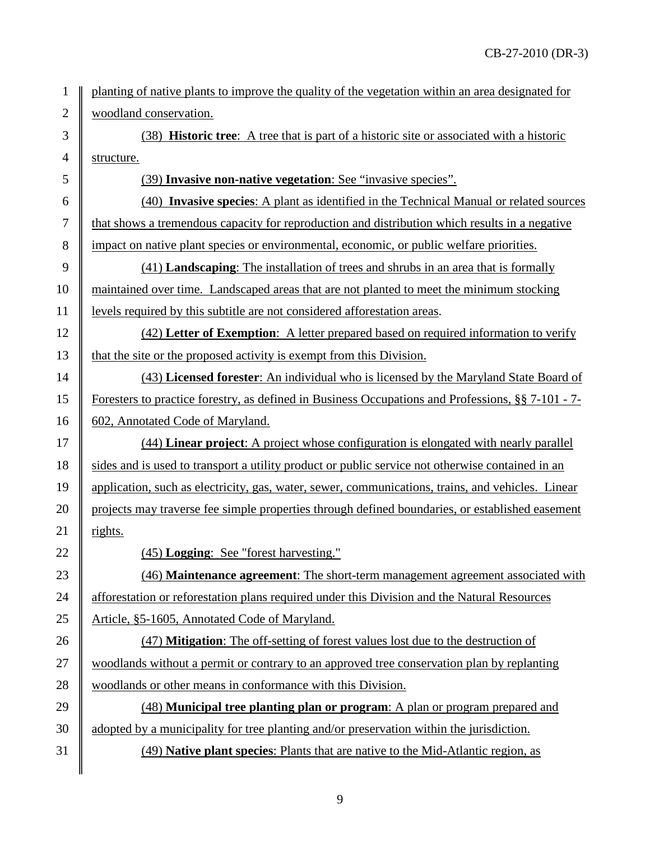planting of native plants to improve the quality of the vegetation within an area designated for 2 | woodland conservation.

 (38) **Historic tree**: A tree that is part of a historic site or associated with a historic 4 | structure.

(39) **Invasive non-native vegetation**: See "invasive species".

 (40) **Invasive species**: A plant as identified in the Technical Manual or related sources that shows a tremendous capacity for reproduction and distribution which results in a negative impact on native plant species or environmental, economic, or public welfare priorities.

 (41) **Landscaping**: The installation of trees and shrubs in an area that is formally 10 maintained over time. Landscaped areas that are not planted to meet the minimum stocking levels required by this subtitle are not considered afforestation areas.

 (42) **Letter of Exemption**:A letter prepared based on required information to verify 13  $\parallel$  that the site or the proposed activity is exempt from this Division.

 (43) **Licensed forester**: An individual who is licensed by the Maryland State Board of Foresters to practice forestry, as defined in Business Occupations and Professions, §§ 7-101 - 7- 16 | 602, Annotated Code of Maryland.

 (44) **Linear project**: A project whose configuration is elongated with nearly parallel 18 Sides and is used to transport a utility product or public service not otherwise contained in an application, such as electricity, gas, water, sewer, communications, trains, and vehicles. Linear 20 projects may traverse fee simple properties through defined boundaries, or established easement 21  $\parallel$  rights.

(45) **Logging**:See "forest harvesting."

 (46) **Maintenance agreement**: The short-term management agreement associated with 24 Afforestation or reforestation plans required under this Division and the Natural Resources 25 | Article, §5-1605, Annotated Code of Maryland.

 (47) **Mitigation**: The off-setting of forest values lost due to the destruction of woodlands without a permit or contrary to an approved tree conservation plan by replanting 28 woodlands or other means in conformance with this Division.

 (48) **Municipal tree planting plan or program**: A plan or program prepared and  $30 \parallel$  adopted by a municipality for tree planting and/or preservation within the jurisdiction. (49) **Native plant species**: Plants that are native to the Mid-Atlantic region, as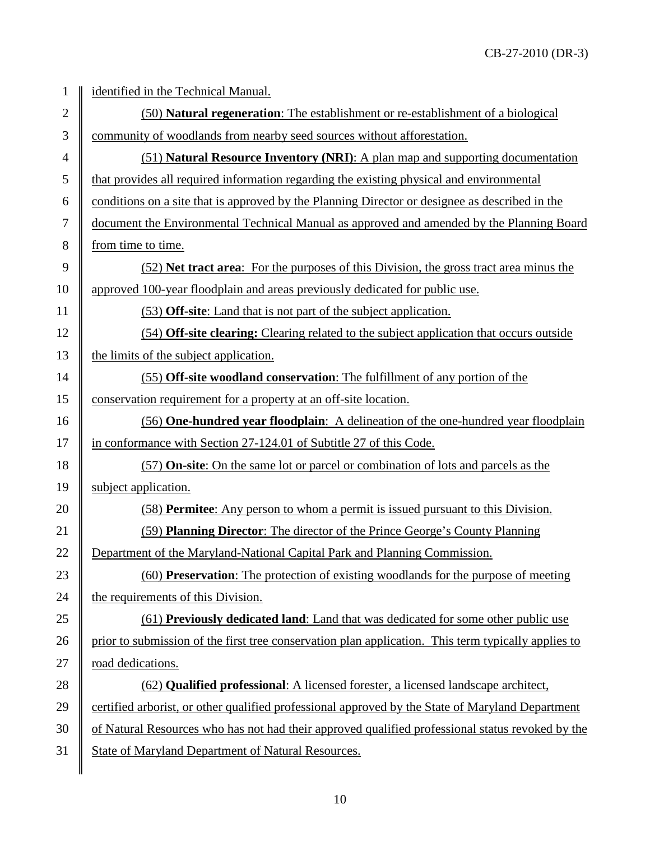| 1              | identified in the Technical Manual.                                                                 |
|----------------|-----------------------------------------------------------------------------------------------------|
| $\overline{2}$ | (50) Natural regeneration: The establishment or re-establishment of a biological                    |
| 3              | community of woodlands from nearby seed sources without afforestation.                              |
| 4              | (51) Natural Resource Inventory (NRI): A plan map and supporting documentation                      |
| 5              | that provides all required information regarding the existing physical and environmental            |
| 6              | conditions on a site that is approved by the Planning Director or designee as described in the      |
| $\tau$         | document the Environmental Technical Manual as approved and amended by the Planning Board           |
| 8              | from time to time.                                                                                  |
| 9              | (52) Net tract area: For the purposes of this Division, the gross tract area minus the              |
| 10             | approved 100-year floodplain and areas previously dedicated for public use.                         |
| 11             | (53) Off-site: Land that is not part of the subject application.                                    |
| 12             | (54) Off-site clearing: Clearing related to the subject application that occurs outside             |
| 13             | the limits of the subject application.                                                              |
| 14             | (55) Off-site woodland conservation: The fulfillment of any portion of the                          |
| 15             | conservation requirement for a property at an off-site location.                                    |
| 16             | (56) One-hundred year floodplain: A delineation of the one-hundred year floodplain                  |
| 17             | in conformance with Section 27-124.01 of Subtitle 27 of this Code.                                  |
| 18             | (57) On-site: On the same lot or parcel or combination of lots and parcels as the                   |
| 19             | subject application.                                                                                |
| 20             | (58) Permitee: Any person to whom a permit is issued pursuant to this Division.                     |
| 21             | (59) Planning Director: The director of the Prince George's County Planning                         |
| 22             | Department of the Maryland-National Capital Park and Planning Commission                            |
| 23             | (60) Preservation: The protection of existing woodlands for the purpose of meeting                  |
| 24             | the requirements of this Division.                                                                  |
| 25             | (61) Previously dedicated land: Land that was dedicated for some other public use                   |
| 26             | prior to submission of the first tree conservation plan application. This term typically applies to |
| 27             | road dedications.                                                                                   |
| 28             | (62) Qualified professional: A licensed forester, a licensed landscape architect,                   |
| 29             | certified arborist, or other qualified professional approved by the State of Maryland Department    |
| 30             | of Natural Resources who has not had their approved qualified professional status revoked by the    |
| 31             | State of Maryland Department of Natural Resources.                                                  |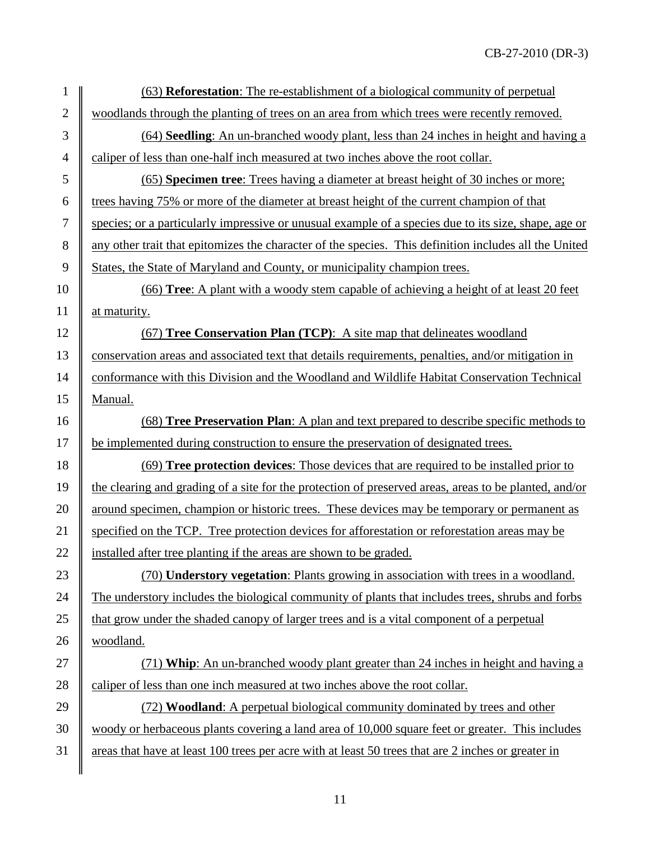| $\mathbf{1}$   | (63) <b>Reforestation</b> : The re-establishment of a biological community of perpetual               |
|----------------|-------------------------------------------------------------------------------------------------------|
| $\overline{2}$ | woodlands through the planting of trees on an area from which trees were recently removed.            |
| 3              | (64) Seedling: An un-branched woody plant, less than 24 inches in height and having a                 |
| $\overline{4}$ | caliper of less than one-half inch measured at two inches above the root collar.                      |
| 5              | (65) Specimen tree: Trees having a diameter at breast height of 30 inches or more;                    |
| 6              | trees having 75% or more of the diameter at breast height of the current champion of that             |
| $\tau$         | species; or a particularly impressive or unusual example of a species due to its size, shape, age or  |
| $8\,$          | any other trait that epitomizes the character of the species. This definition includes all the United |
| 9              | States, the State of Maryland and County, or municipality champion trees.                             |
| 10             | (66) Tree: A plant with a woody stem capable of achieving a height of at least 20 feet                |
| 11             | at maturity.                                                                                          |
| 12             | (67) Tree Conservation Plan (TCP): A site map that delineates woodland                                |
| 13             | conservation areas and associated text that details requirements, penalties, and/or mitigation in     |
| 14             | conformance with this Division and the Woodland and Wildlife Habitat Conservation Technical           |
| 15             | Manual.                                                                                               |
| 16             | (68) Tree Preservation Plan: A plan and text prepared to describe specific methods to                 |
| 17             | be implemented during construction to ensure the preservation of designated trees.                    |
| 18             | <u>(69) Tree protection devices: Those devices that are required to be installed prior to</u>         |
| 19             | the clearing and grading of a site for the protection of preserved areas, areas to be planted, and/or |
| 20             | around specimen, champion or historic trees. These devices may be temporary or permanent as           |
| 21             | specified on the TCP. Tree protection devices for afforestation or reforestation areas may be         |
| 22             | installed after tree planting if the areas are shown to be graded.                                    |
| 23             | (70) Understory vegetation: Plants growing in association with trees in a woodland.                   |
| 24             | The understory includes the biological community of plants that includes trees, shrubs and forbs      |
| 25             | that grow under the shaded canopy of larger trees and is a vital component of a perpetual             |
| 26             | woodland.                                                                                             |
| 27             | (71) Whip: An un-branched woody plant greater than 24 inches in height and having a                   |
| 28             | caliper of less than one inch measured at two inches above the root collar.                           |
| 29             | (72) <b>Woodland:</b> A perpetual biological community dominated by trees and other                   |
| 30             | woody or herbaceous plants covering a land area of 10,000 square feet or greater. This includes       |
| 31             | areas that have at least 100 trees per acre with at least 50 trees that are 2 inches or greater in    |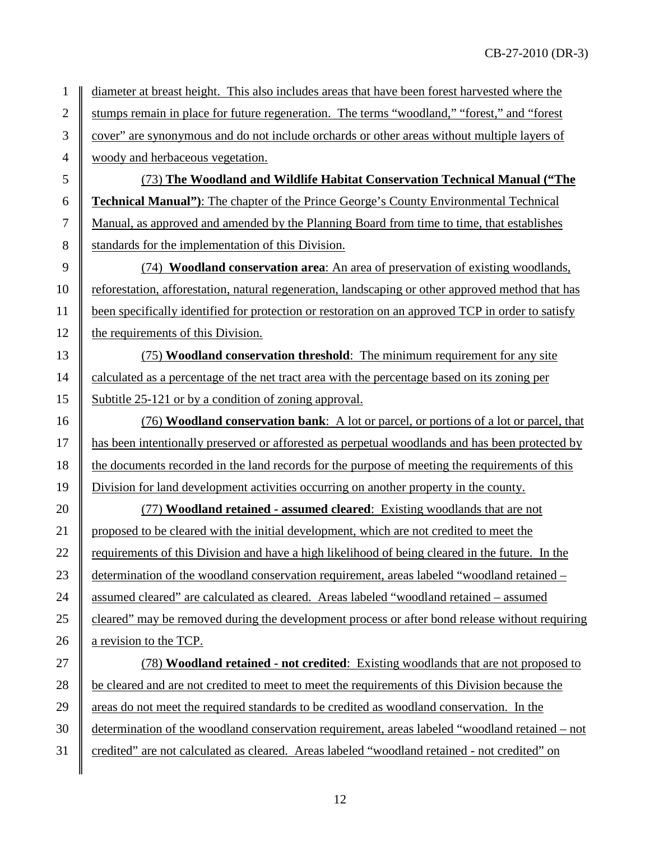1 diameter at breast height. This also includes areas that have been forest harvested where the 2 Stumps remain in place for future regeneration. The terms "woodland," "forest," and "forest 3 cover" are synonymous and do not include orchards or other areas without multiple layers of 4 woody and herbaceous vegetation.

 (73) **The Woodland and Wildlife Habitat Conservation Technical Manual ("The Technical Manual")**: The chapter of the Prince George's County Environmental Technical Manual, as approved and amended by the Planning Board from time to time, that establishes 8 Standards for the implementation of this Division.

 (74) **Woodland conservation area**: An area of preservation of existing woodlands, 10 Feforestation, afforestation, natural regeneration, landscaping or other approved method that has been specifically identified for protection or restoration on an approved TCP in order to satisfy  $\parallel$  the requirements of this Division.

13 (75) **Woodland conservation threshold**: The minimum requirement for any site 14 calculated as a percentage of the net tract area with the percentage based on its zoning per 15 Subtitle 25-121 or by a condition of zoning approval.

 (76) **Woodland conservation bank**: A lot or parcel, or portions of a lot or parcel, that **has been intentionally preserved or afforested as perpetual woodlands and has been protected by** 18 the documents recorded in the land records for the purpose of meeting the requirements of this Division for land development activities occurring on another property in the county.

20 (77) **Woodland retained - assumed cleared**: Existing woodlands that are not 21 proposed to be cleared with the initial development, which are not credited to meet the 22 Fequirements of this Division and have a high likelihood of being cleared in the future. In the 23 determination of the woodland conservation requirement, areas labeled "woodland retained – 24 assumed cleared" are calculated as cleared. Areas labeled "woodland retained – assumed 25 cleared" may be removed during the development process or after bond release without requiring 26  $\parallel$  a revision to the TCP.

27 (78) **Woodland retained - not credited**: Existing woodlands that are not proposed to 28 be cleared and are not credited to meet to meet the requirements of this Division because the 29 areas do not meet the required standards to be credited as woodland conservation. In the 30 determination of the woodland conservation requirement, areas labeled "woodland retained – not 31 credited" are not calculated as cleared. Areas labeled "woodland retained - not credited" on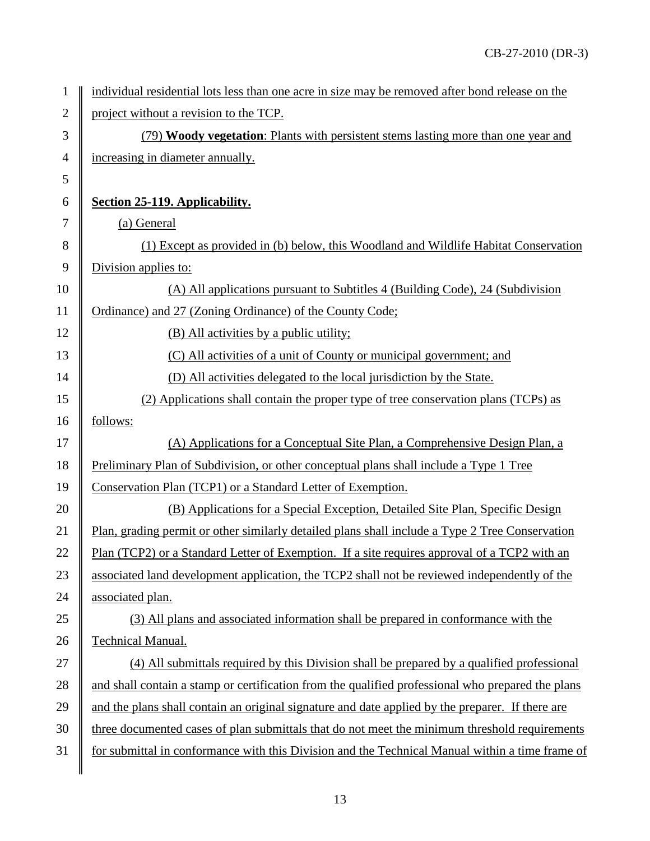| $\mathbf{1}$     | individual residential lots less than one acre in size may be removed after bond release on the   |
|------------------|---------------------------------------------------------------------------------------------------|
| $\mathbf{2}$     | project without a revision to the TCP.                                                            |
| 3                | (79) Woody vegetation: Plants with persistent stems lasting more than one year and                |
| $\overline{4}$   | increasing in diameter annually.                                                                  |
| 5                |                                                                                                   |
| 6                | Section 25-119. Applicability.                                                                    |
| $\boldsymbol{7}$ | (a) General                                                                                       |
| $8\,$            | (1) Except as provided in (b) below, this Woodland and Wildlife Habitat Conservation              |
| 9                | Division applies to:                                                                              |
| 10               | (A) All applications pursuant to Subtitles 4 (Building Code), 24 (Subdivision                     |
| 11               | Ordinance) and 27 (Zoning Ordinance) of the County Code;                                          |
| 12               | (B) All activities by a public utility;                                                           |
| 13               | (C) All activities of a unit of County or municipal government; and                               |
| 14               | (D) All activities delegated to the local jurisdiction by the State.                              |
| 15               | (2) Applications shall contain the proper type of tree conservation plans (TCPs) as               |
| 16               | follows:                                                                                          |
| 17               | (A) Applications for a Conceptual Site Plan, a Comprehensive Design Plan, a                       |
| 18               | Preliminary Plan of Subdivision, or other conceptual plans shall include a Type 1 Tree            |
| 19               | Conservation Plan (TCP1) or a Standard Letter of Exemption.                                       |
| 20               | (B) Applications for a Special Exception, Detailed Site Plan, Specific Design                     |
| 21               | Plan, grading permit or other similarly detailed plans shall include a Type 2 Tree Conservation   |
| 22               | Plan (TCP2) or a Standard Letter of Exemption. If a site requires approval of a TCP2 with an      |
| 23               | associated land development application, the TCP2 shall not be reviewed independently of the      |
| 24               | associated plan.                                                                                  |
| 25               | (3) All plans and associated information shall be prepared in conformance with the                |
| 26               | <b>Technical Manual.</b>                                                                          |
| 27               | (4) All submittals required by this Division shall be prepared by a qualified professional        |
| 28               | and shall contain a stamp or certification from the qualified professional who prepared the plans |
| 29               | and the plans shall contain an original signature and date applied by the preparer. If there are  |
| 30               | three documented cases of plan submittals that do not meet the minimum threshold requirements     |
| 31               | for submittal in conformance with this Division and the Technical Manual within a time frame of   |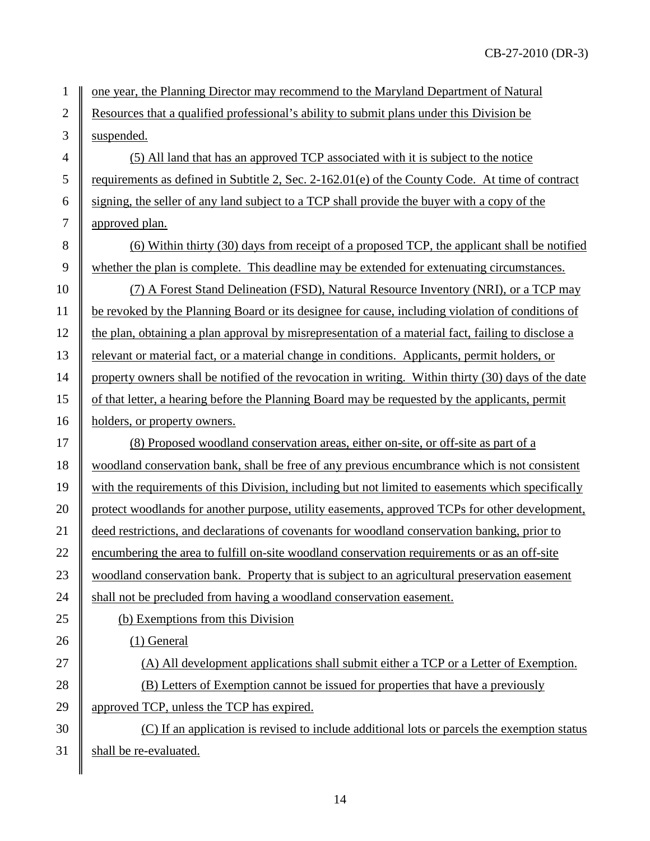1 one year, the Planning Director may recommend to the Maryland Department of Natural 2 Resources that a qualified professional's ability to submit plans under this Division be 3 || suspended.

4  $\parallel$  (5) All land that has an approved TCP associated with it is subject to the notice 5 Tequirements as defined in Subtitle 2, Sec. 2-162.01(e) of the County Code. At time of contract 6 signing, the seller of any land subject to a TCP shall provide the buyer with a copy of the 7 approved plan.

8 (6) Within thirty (30) days from receipt of a proposed TCP, the applicant shall be notified 9 whether the plan is complete. This deadline may be extended for extenuating circumstances.

10 (7) A Forest Stand Delineation (FSD), Natural Resource Inventory (NRI), or a TCP may be revoked by the Planning Board or its designee for cause, including violation of conditions of 12 the plan, obtaining a plan approval by misrepresentation of a material fact, failing to disclose a relevant or material fact, or a material change in conditions. Applicants, permit holders, or property owners shall be notified of the revocation in writing. Within thirty (30) days of the date of that letter, a hearing before the Planning Board may be requested by the applicants, permit **holders**, or property owners.

17 (8) Proposed woodland conservation areas, either on-site, or off-site as part of a 18 woodland conservation bank, shall be free of any previous encumbrance which is not consistent 19 with the requirements of this Division, including but not limited to easements which specifically 20 protect woodlands for another purpose, utility easements, approved TCPs for other development, 21 deed restrictions, and declarations of covenants for woodland conservation banking, prior to 22 encumbering the area to fulfill on-site woodland conservation requirements or as an off-site 23 woodland conservation bank. Property that is subject to an agricultural preservation easement 24  $\parallel$  shall not be precluded from having a woodland conservation easement.

25 (b) Exemptions from this Division

 $26 \parallel$  (1) General

27  $\parallel$  (A) All development applications shall submit either a TCP or a Letter of Exemption. 28 (B) Letters of Exemption cannot be issued for properties that have a previously

29 approved TCP, unless the TCP has expired.

 $30 \parallel$  (C) If an application is revised to include additional lots or parcels the exemption status 31  $\parallel$  shall be re-evaluated.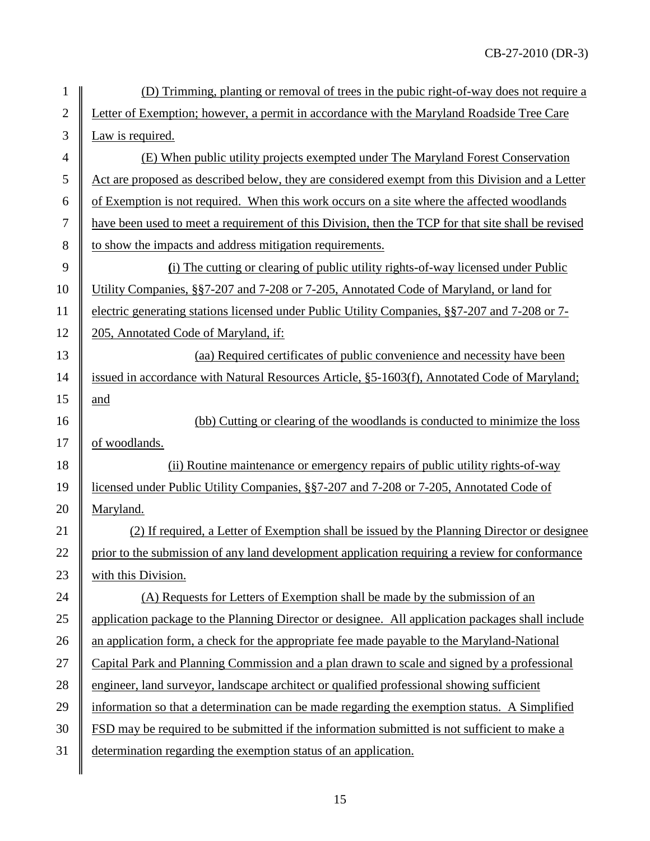| 1              | (D) Trimming, planting or removal of trees in the pubic right-of-way does not require a            |
|----------------|----------------------------------------------------------------------------------------------------|
| $\overline{2}$ | Letter of Exemption; however, a permit in accordance with the Maryland Roadside Tree Care          |
| 3              | Law is required.                                                                                   |
| $\overline{4}$ | (E) When public utility projects exempted under The Maryland Forest Conservation                   |
| 5              | Act are proposed as described below, they are considered exempt from this Division and a Letter    |
| 6              | of Exemption is not required. When this work occurs on a site where the affected woodlands         |
| $\tau$         | have been used to meet a requirement of this Division, then the TCP for that site shall be revised |
| 8              | to show the impacts and address mitigation requirements.                                           |
| 9              | (i) The cutting or clearing of public utility rights-of-way licensed under Public                  |
| 10             | Utility Companies, §§7-207 and 7-208 or 7-205, Annotated Code of Maryland, or land for             |
| 11             | electric generating stations licensed under Public Utility Companies, §§7-207 and 7-208 or 7-      |
| 12             | 205, Annotated Code of Maryland, if:                                                               |
| 13             | (aa) Required certificates of public convenience and necessity have been                           |
| 14             | issued in accordance with Natural Resources Article, §5-1603(f), Annotated Code of Maryland;       |
| 15             | and                                                                                                |
| 16             | (bb) Cutting or clearing of the woodlands is conducted to minimize the loss                        |
| 17             | of woodlands.                                                                                      |
| 18             | (ii) Routine maintenance or emergency repairs of public utility rights-of-way                      |
| 19             | licensed under Public Utility Companies, §§7-207 and 7-208 or 7-205, Annotated Code of             |
| 20             | Maryland.                                                                                          |
| 21             | (2) If required, a Letter of Exemption shall be issued by the Planning Director or designee        |
| 22             | prior to the submission of any land development application requiring a review for conformance     |
| 23             | with this Division.                                                                                |
| 24             | (A) Requests for Letters of Exemption shall be made by the submission of an                        |
| 25             | application package to the Planning Director or designee. All application packages shall include   |
| 26             | an application form, a check for the appropriate fee made payable to the Maryland-National         |
| 27             | Capital Park and Planning Commission and a plan drawn to scale and signed by a professional        |
| 28             | engineer, land surveyor, landscape architect or qualified professional showing sufficient          |
| 29             | information so that a determination can be made regarding the exemption status. A Simplified       |
| 30             | FSD may be required to be submitted if the information submitted is not sufficient to make a       |
| 31             | determination regarding the exemption status of an application.                                    |
|                |                                                                                                    |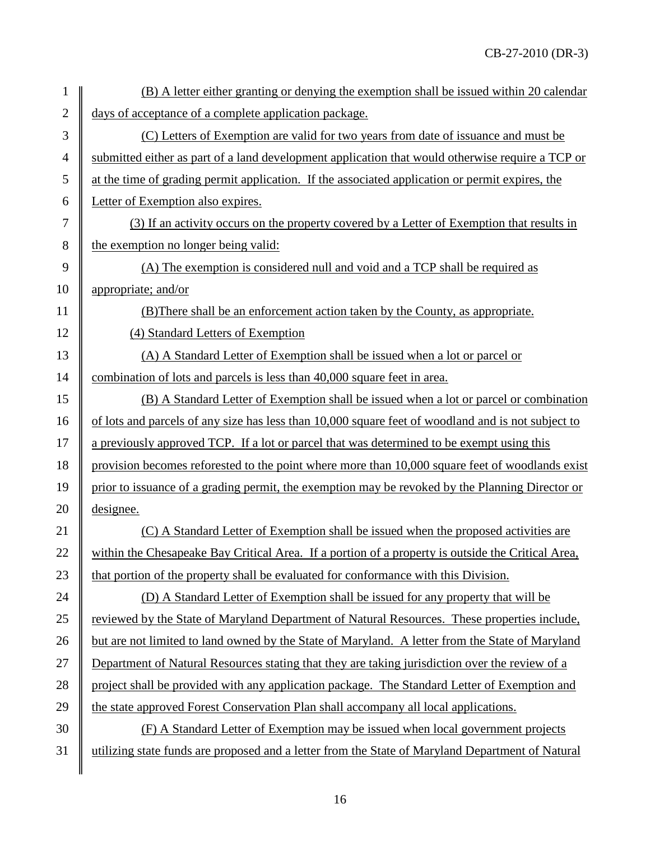| 1              | (B) A letter either granting or denying the exemption shall be issued within 20 calendar           |
|----------------|----------------------------------------------------------------------------------------------------|
| $\overline{2}$ | days of acceptance of a complete application package.                                              |
| 3              | (C) Letters of Exemption are valid for two years from date of issuance and must be                 |
| 4              | submitted either as part of a land development application that would otherwise require a TCP or   |
| 5              | at the time of grading permit application. If the associated application or permit expires, the    |
| 6              | Letter of Exemption also expires.                                                                  |
| 7              | (3) If an activity occurs on the property covered by a Letter of Exemption that results in         |
| 8              | the exemption no longer being valid:                                                               |
| 9              | (A) The exemption is considered null and void and a TCP shall be required as                       |
| 10             | appropriate; and/or                                                                                |
| 11             | (B) There shall be an enforcement action taken by the County, as appropriate.                      |
| 12             | (4) Standard Letters of Exemption                                                                  |
| 13             | (A) A Standard Letter of Exemption shall be issued when a lot or parcel or                         |
| 14             | combination of lots and parcels is less than 40,000 square feet in area.                           |
| 15             | (B) A Standard Letter of Exemption shall be issued when a lot or parcel or combination             |
| 16             | of lots and parcels of any size has less than 10,000 square feet of woodland and is not subject to |
| 17             | a previously approved TCP. If a lot or parcel that was determined to be exempt using this          |
| 18             | provision becomes reforested to the point where more than 10,000 square feet of woodlands exist    |
| 19             | prior to issuance of a grading permit, the exemption may be revoked by the Planning Director or    |
| 20             | designee.                                                                                          |
| 21             | (C) A Standard Letter of Exemption shall be issued when the proposed activities are                |
| 22             | within the Chesapeake Bay Critical Area. If a portion of a property is outside the Critical Area,  |
| 23             | that portion of the property shall be evaluated for conformance with this Division.                |
| 24             | (D) A Standard Letter of Exemption shall be issued for any property that will be                   |
| 25             | reviewed by the State of Maryland Department of Natural Resources. These properties include,       |
| 26             | but are not limited to land owned by the State of Maryland. A letter from the State of Maryland    |
| 27             | Department of Natural Resources stating that they are taking jurisdiction over the review of a     |
| 28             | project shall be provided with any application package. The Standard Letter of Exemption and       |
| 29             | the state approved Forest Conservation Plan shall accompany all local applications.                |
| 30             | (F) A Standard Letter of Exemption may be issued when local government projects                    |
| 31             | utilizing state funds are proposed and a letter from the State of Maryland Department of Natural   |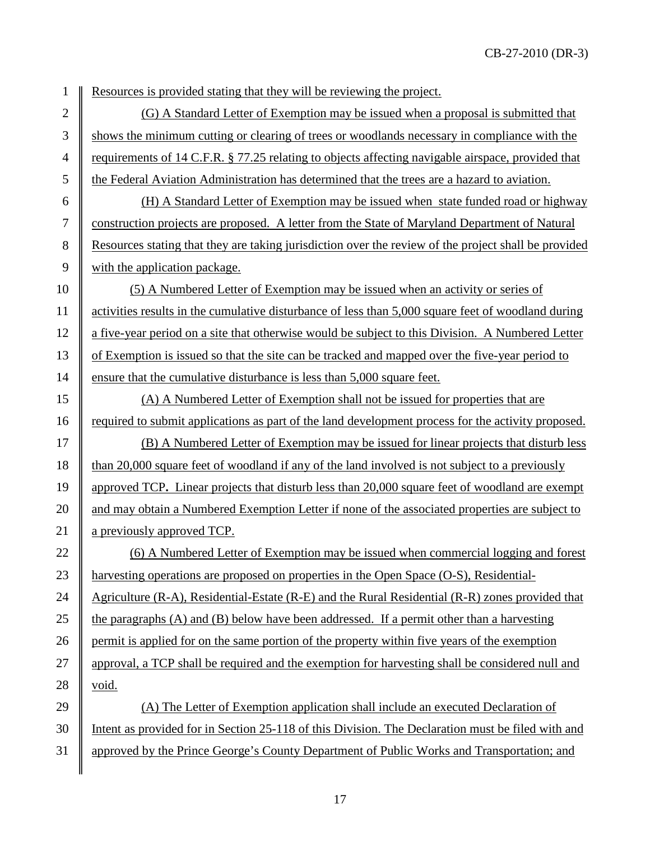1 Resources is provided stating that they will be reviewing the project.

2  $\parallel$  (G) A Standard Letter of Exemption may be issued when a proposal is submitted that 3 Shows the minimum cutting or clearing of trees or woodlands necessary in compliance with the 4 requirements of 14 C.F.R. § 77.25 relating to objects affecting navigable airspace, provided that 5 the Federal Aviation Administration has determined that the trees are a hazard to aviation.

 (H) A Standard Letter of Exemption may be issued when state funded road or highway construction projects are proposed. A letter from the State of Maryland Department of Natural Resources stating that they are taking jurisdiction over the review of the project shall be provided with the application package.

10 (5) A Numbered Letter of Exemption may be issued when an activity or series of 11 activities results in the cumulative disturbance of less than 5,000 square feet of woodland during 12 a five-year period on a site that otherwise would be subject to this Division.A Numbered Letter 13 of Exemption is issued so that the site can be tracked and mapped over the five-year period to 14 ensure that the cumulative disturbance is less than 5,000 square feet.

15 (A) A Numbered Letter of Exemption shall not be issued for properties that are 16 required to submit applications as part of the land development process for the activity proposed.

17  $\parallel$  (B) A Numbered Letter of Exemption may be issued for linear projects that disturb less 18 than 20,000 square feet of woodland if any of the land involved is not subject to a previously 19 approved TCP**.** Linear projects that disturb less than 20,000 square feet of woodland are exempt 20 and may obtain a Numbered Exemption Letter if none of the associated properties are subject to 21 a previously approved TCP.

22 (6) A Numbered Letter of Exemption may be issued when commercial logging and forest 23 harvesting operations are proposed on properties in the Open Space (O-S), Residential-24  $\parallel$  Agriculture (R-A), Residential-Estate (R-E) and the Rural Residential (R-R) zones provided that 25 the paragraphs (A) and (B) below have been addressed. If a permit other than a harvesting 26 permit is applied for on the same portion of the property within five years of the exemption 27 approval, a TCP shall be required and the exemption for harvesting shall be considered null and 28  $\parallel$  void.

29  $\parallel$  (A) The Letter of Exemption application shall include an executed Declaration of 30 Intent as provided for in Section 25-118 of this Division. The Declaration must be filed with and 31 approved by the Prince George's County Department of Public Works and Transportation; and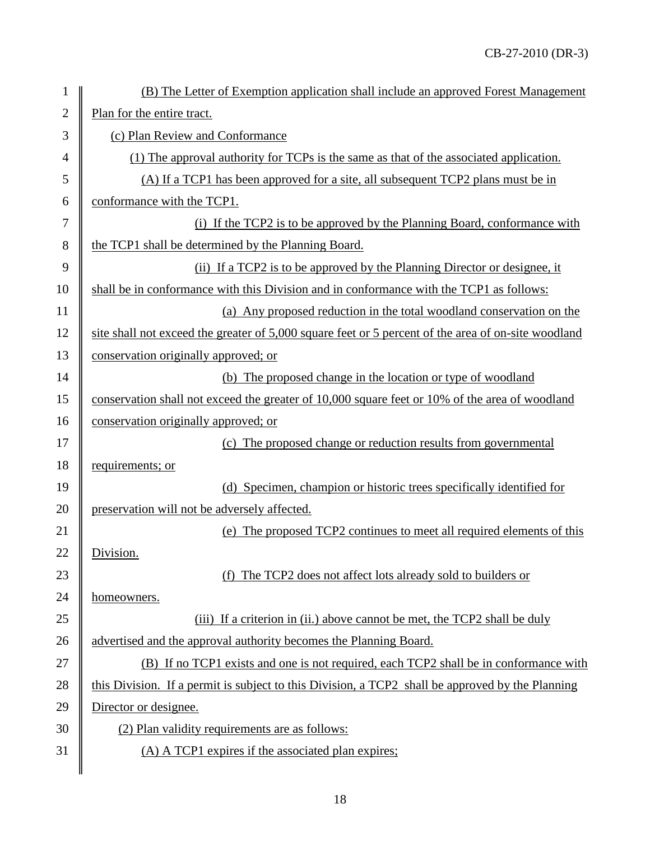| $\mathbf{1}$   | (B) The Letter of Exemption application shall include an approved Forest Management                 |
|----------------|-----------------------------------------------------------------------------------------------------|
| $\sqrt{2}$     | Plan for the entire tract.                                                                          |
| 3              | (c) Plan Review and Conformance                                                                     |
| $\overline{4}$ | (1) The approval authority for TCPs is the same as that of the associated application.              |
| 5              | (A) If a TCP1 has been approved for a site, all subsequent TCP2 plans must be in                    |
| 6              | conformance with the TCP1.                                                                          |
| $\overline{7}$ | (i) If the TCP2 is to be approved by the Planning Board, conformance with                           |
| 8              | the TCP1 shall be determined by the Planning Board.                                                 |
| 9              | (ii) If a TCP2 is to be approved by the Planning Director or designee, it                           |
| 10             | shall be in conformance with this Division and in conformance with the TCP1 as follows:             |
| 11             | (a) Any proposed reduction in the total woodland conservation on the                                |
| 12             | site shall not exceed the greater of 5,000 square feet or 5 percent of the area of on-site woodland |
| 13             | conservation originally approved; or                                                                |
| 14             | The proposed change in the location or type of woodland<br>(b)                                      |
| 15             | conservation shall not exceed the greater of 10,000 square feet or 10% of the area of woodland      |
| 16             | conservation originally approved; or                                                                |
| 17             | (c) The proposed change or reduction results from governmental                                      |
| 18             | requirements; or                                                                                    |
| 19             | (d) Specimen, champion or historic trees specifically identified for                                |
| 20             | preservation will not be adversely affected.                                                        |
| 21             | (e) The proposed TCP2 continues to meet all required elements of this                               |
| 22             | Division.                                                                                           |
| 23             | (f) The TCP2 does not affect lots already sold to builders or                                       |
| 24             | homeowners.                                                                                         |
| 25             | (iii) If a criterion in (ii.) above cannot be met, the TCP2 shall be duly                           |
| 26             | advertised and the approval authority becomes the Planning Board.                                   |
| 27             | (B) If no TCP1 exists and one is not required, each TCP2 shall be in conformance with               |
| 28             | this Division. If a permit is subject to this Division, a TCP2 shall be approved by the Planning    |
| 29             | Director or designee.                                                                               |
| 30             | (2) Plan validity requirements are as follows:                                                      |
| 31             | (A) A TCP1 expires if the associated plan expires;                                                  |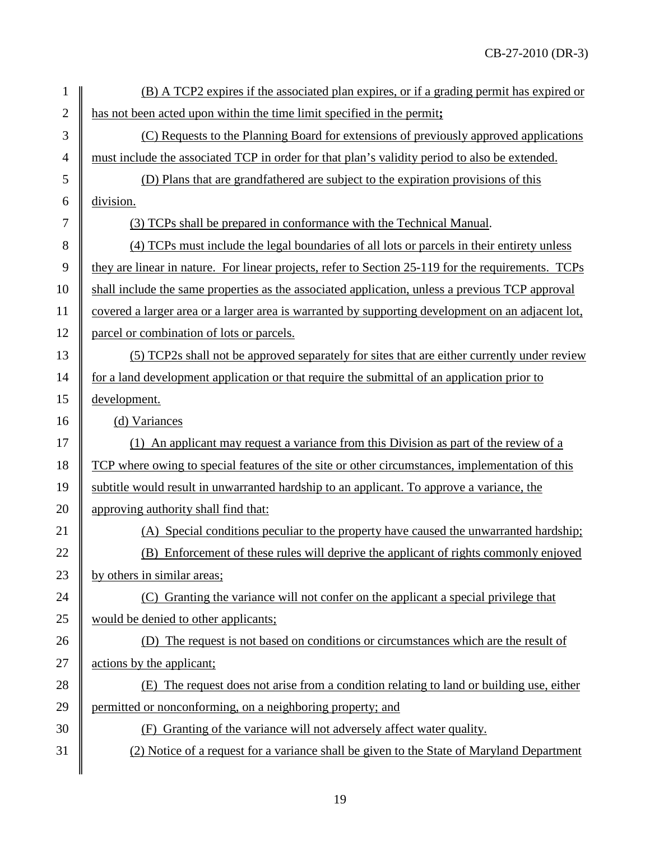| 1              | (B) A TCP2 expires if the associated plan expires, or if a grading permit has expired or           |
|----------------|----------------------------------------------------------------------------------------------------|
| $\overline{2}$ | has not been acted upon within the time limit specified in the permit;                             |
| 3              | (C) Requests to the Planning Board for extensions of previously approved applications              |
| $\overline{4}$ | must include the associated TCP in order for that plan's validity period to also be extended.      |
| 5              | (D) Plans that are grandfathered are subject to the expiration provisions of this                  |
| 6              | division.                                                                                          |
| 7              | (3) TCPs shall be prepared in conformance with the Technical Manual.                               |
| 8              | (4) TCPs must include the legal boundaries of all lots or parcels in their entirety unless         |
| 9              | they are linear in nature. For linear projects, refer to Section 25-119 for the requirements. TCPs |
| 10             | shall include the same properties as the associated application, unless a previous TCP approval    |
| 11             | covered a larger area or a larger area is warranted by supporting development on an adjacent lot,  |
| 12             | parcel or combination of lots or parcels.                                                          |
| 13             | (5) TCP2s shall not be approved separately for sites that are either currently under review        |
| 14             | for a land development application or that require the submittal of an application prior to        |
| 15             | development.                                                                                       |
| 16             | (d) Variances                                                                                      |
| 17             | (1) An applicant may request a variance from this Division as part of the review of a              |
| 18             | TCP where owing to special features of the site or other circumstances, implementation of this     |
| 19             | subtitle would result in unwarranted hardship to an applicant. To approve a variance, the          |
| 20             | approving authority shall find that:                                                               |
| 21             | Special conditions peculiar to the property have caused the unwarranted hardship;                  |
| 22             | (B) Enforcement of these rules will deprive the applicant of rights commonly enjoyed               |
| 23             | by others in similar areas;                                                                        |
| 24             | (C) Granting the variance will not confer on the applicant a special privilege that                |
| 25             | would be denied to other applicants;                                                               |
| 26             | (D) The request is not based on conditions or circumstances which are the result of                |
| 27             | actions by the applicant;                                                                          |
| 28             | The request does not arise from a condition relating to land or building use, either<br>(E)        |
| 29             | permitted or nonconforming, on a neighboring property; and                                         |
| 30             | Granting of the variance will not adversely affect water quality.<br>(F)                           |
| 31             | (2) Notice of a request for a variance shall be given to the State of Maryland Department          |
|                |                                                                                                    |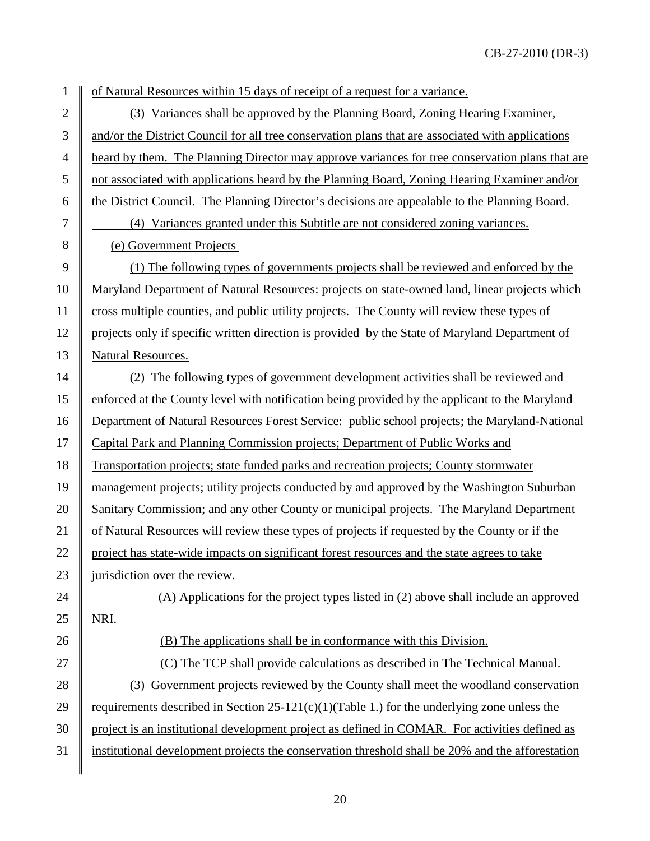1 of Natural Resources within 15 days of receipt of a request for a variance.

2 (3) Variances shall be approved by the Planning Board, Zoning Hearing Examiner,  $3 \parallel$  and/or the District Council for all tree conservation plans that are associated with applications <sup>4</sup> eard by them. The Planning Director may approve variances for tree conservation plans that are 5 not associated with applications heard by the Planning Board, Zoning Hearing Examiner and/or 6 the District Council. The Planning Director's decisions are appealable to the Planning Board.

7 (4) Variances granted under this Subtitle are not considered zoning variances. 8 (e) Government Projects

 (1) The following types of governments projects shall be reviewed and enforced by the Maryland Department of Natural Resources: projects on state-owned land, linear projects which cross multiple counties, and public utility projects. The County will review these types of projects only if specific written direction is provided by the State of Maryland Department of Natural Resources.

14 (2) The following types of government development activities shall be reviewed and 15 enforced at the County level with notification being provided by the applicant to the Maryland 16 Department of Natural Resources Forest Service: public school projects; the Maryland-National 17 Capital Park and Planning Commission projects; Department of Public Works and 18 Transportation projects; state funded parks and recreation projects; County stormwater 19 management projects; utility projects conducted by and approved by the Washington Suburban 20 Sanitary Commission; and any other County or municipal projects. The Maryland Department 21 of Natural Resources will review these types of projects if requested by the County or if the 22 project has state-wide impacts on significant forest resources and the state agrees to take 23  $\parallel$  jurisdiction over the review. 24  $\parallel$  (A) Applications for the project types listed in (2) above shall include an approved  $25$  NRI.

26  $\parallel$  (B) The applications shall be in conformance with this Division.

27  $\parallel$  (C) The TCP shall provide calculations as described in The Technical Manual.

28 (3) Government projects reviewed by the County shall meet the woodland conservation 29 The requirements described in Section 25-121(c)(1)(Table 1.) for the underlying zone unless the 30 project is an institutional development project as defined in COMAR. For activities defined as 31 institutional development projects the conservation threshold shall be 20% and the afforestation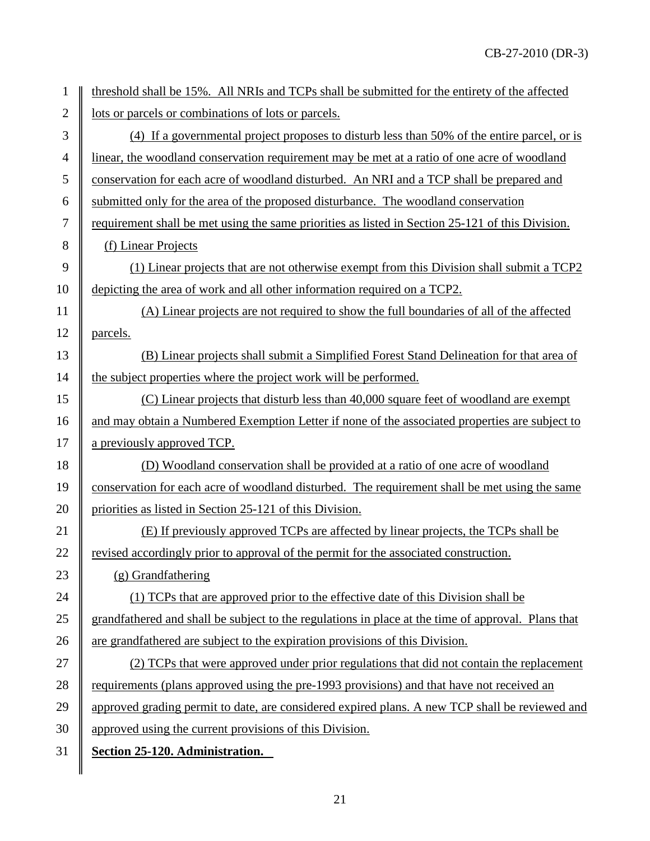| 1              | threshold shall be 15%. All NRIs and TCPs shall be submitted for the entirety of the affected      |
|----------------|----------------------------------------------------------------------------------------------------|
| $\overline{2}$ | lots or parcels or combinations of lots or parcels.                                                |
| 3              | (4) If a governmental project proposes to disturb less than 50% of the entire parcel, or is        |
| $\overline{4}$ | linear, the woodland conservation requirement may be met at a ratio of one acre of woodland        |
| 5              | conservation for each acre of woodland disturbed. An NRI and a TCP shall be prepared and           |
| 6              | submitted only for the area of the proposed disturbance. The woodland conservation                 |
| 7              | requirement shall be met using the same priorities as listed in Section 25-121 of this Division.   |
| 8              | (f) Linear Projects                                                                                |
| 9              | (1) Linear projects that are not otherwise exempt from this Division shall submit a TCP2           |
| 10             | depicting the area of work and all other information required on a TCP2.                           |
| 11             | (A) Linear projects are not required to show the full boundaries of all of the affected            |
| 12             | parcels.                                                                                           |
| 13             | (B) Linear projects shall submit a Simplified Forest Stand Delineation for that area of            |
| 14             | the subject properties where the project work will be performed.                                   |
| 15             | (C) Linear projects that disturb less than 40,000 square feet of woodland are exempt               |
| 16             | and may obtain a Numbered Exemption Letter if none of the associated properties are subject to     |
| 17             | a previously approved TCP.                                                                         |
| 18             | (D) Woodland conservation shall be provided at a ratio of one acre of woodland                     |
| 19             | conservation for each acre of woodland disturbed. The requirement shall be met using the same      |
| 20             | priorities as listed in Section 25-121 of this Division.                                           |
| 21             | (E) If previously approved TCPs are affected by linear projects, the TCPs shall be                 |
| 22             | revised accordingly prior to approval of the permit for the associated construction.               |
| 23             | $(g)$ Grandfathering                                                                               |
| 24             | (1) TCPs that are approved prior to the effective date of this Division shall be                   |
| 25             | grandfathered and shall be subject to the regulations in place at the time of approval. Plans that |
| 26             | are grandfathered are subject to the expiration provisions of this Division.                       |
| 27             | (2) TCPs that were approved under prior regulations that did not contain the replacement           |
| 28             | requirements (plans approved using the pre-1993 provisions) and that have not received an          |
| 29             | approved grading permit to date, are considered expired plans. A new TCP shall be reviewed and     |
| 30             | approved using the current provisions of this Division.                                            |
| 31             | Section 25-120. Administration.                                                                    |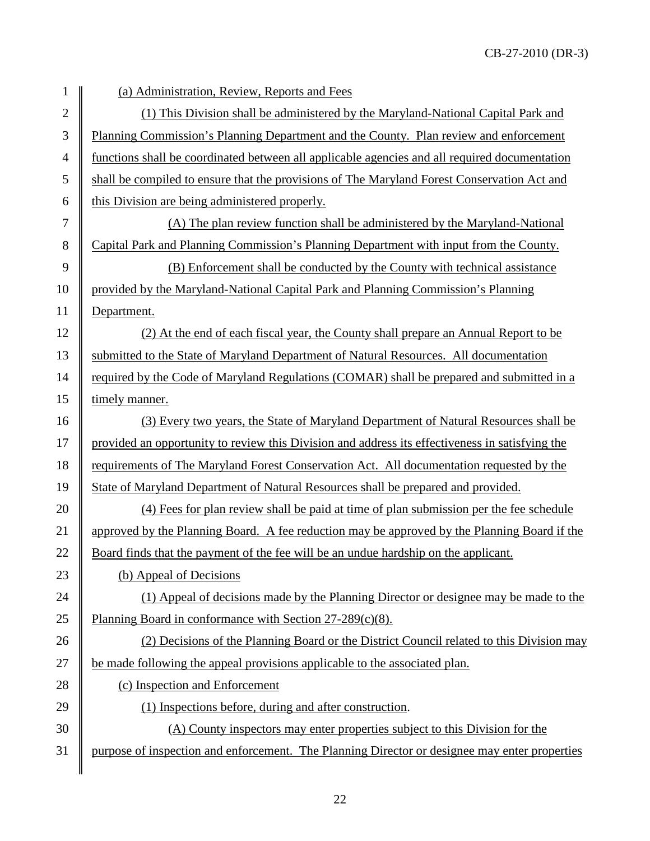| $\mathbf{1}$     | (a) Administration, Review, Reports and Fees                                                    |
|------------------|-------------------------------------------------------------------------------------------------|
| $\overline{2}$   | (1) This Division shall be administered by the Maryland-National Capital Park and               |
| 3                | Planning Commission's Planning Department and the County. Plan review and enforcement           |
| $\overline{4}$   | functions shall be coordinated between all applicable agencies and all required documentation   |
| 5                | shall be compiled to ensure that the provisions of The Maryland Forest Conservation Act and     |
| 6                | this Division are being administered properly.                                                  |
| $\boldsymbol{7}$ | (A) The plan review function shall be administered by the Maryland-National                     |
| 8                | Capital Park and Planning Commission's Planning Department with input from the County.          |
| 9                | (B) Enforcement shall be conducted by the County with technical assistance                      |
| 10               | provided by the Maryland-National Capital Park and Planning Commission's Planning               |
| 11               | Department.                                                                                     |
| 12               | (2) At the end of each fiscal year, the County shall prepare an Annual Report to be             |
| 13               | submitted to the State of Maryland Department of Natural Resources. All documentation           |
| 14               | required by the Code of Maryland Regulations (COMAR) shall be prepared and submitted in a       |
| 15               | timely manner.                                                                                  |
| 16               | (3) Every two years, the State of Maryland Department of Natural Resources shall be             |
| 17               | provided an opportunity to review this Division and address its effectiveness in satisfying the |
| 18               | requirements of The Maryland Forest Conservation Act. All documentation requested by the        |
| 19               | State of Maryland Department of Natural Resources shall be prepared and provided.               |
| 20               | (4) Fees for plan review shall be paid at time of plan submission per the fee schedule          |
| 21               | approved by the Planning Board. A fee reduction may be approved by the Planning Board if the    |
| 22               | Board finds that the payment of the fee will be an undue hardship on the applicant.             |
| 23               | (b) Appeal of Decisions                                                                         |
| 24               | (1) Appeal of decisions made by the Planning Director or designee may be made to the            |
| 25               | Planning Board in conformance with Section $27-289(c)(8)$ .                                     |
| 26               | (2) Decisions of the Planning Board or the District Council related to this Division may        |
| 27               | be made following the appeal provisions applicable to the associated plan.                      |
| 28               | (c) Inspection and Enforcement                                                                  |
| 29               | (1) Inspections before, during and after construction.                                          |
| 30               | (A) County inspectors may enter properties subject to this Division for the                     |
| 31               | purpose of inspection and enforcement. The Planning Director or designee may enter properties   |
|                  |                                                                                                 |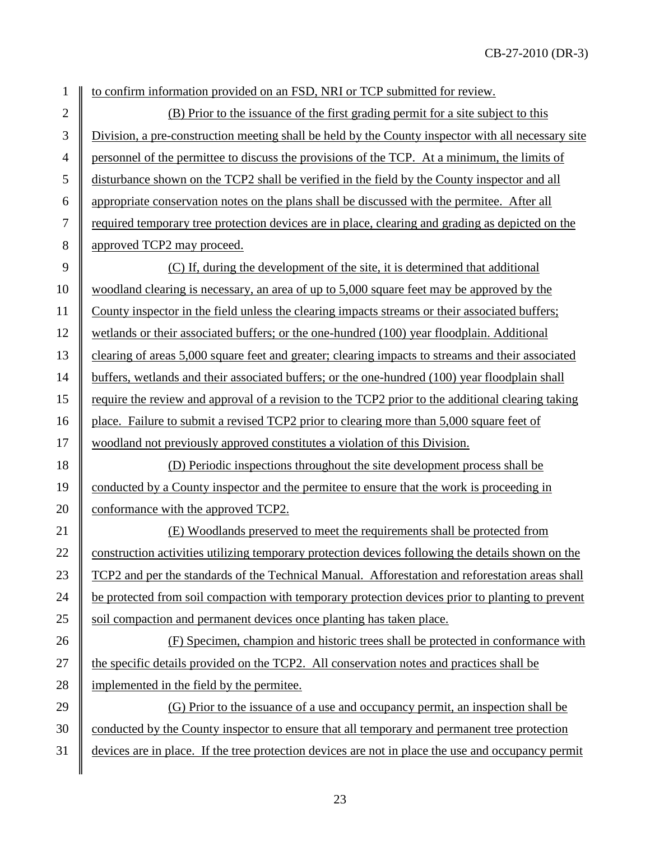1 to confirm information provided on an FSD, NRI or TCP submitted for review.

2  $\parallel$  (B) Prior to the issuance of the first grading permit for a site subject to this 3 Division, a pre-construction meeting shall be held by the County inspector with all necessary site <sup>4</sup> personnel of the permittee to discuss the provisions of the TCP. At a minimum, the limits of 5 disturbance shown on the TCP2 shall be verified in the field by the County inspector and all 6 appropriate conservation notes on the plans shall be discussed with the permitee. After all 7 required temporary tree protection devices are in place, clearing and grading as depicted on the 8 approved TCP2 may proceed.

 $\parallel$  (C) If, during the development of the site, it is determined that additional woodland clearing is necessary, an area of up to 5,000 square feet may be approved by the County inspector in the field unless the clearing impacts streams or their associated buffers; wetlands or their associated buffers; or the one-hundred (100) year floodplain. Additional 13 clearing of areas 5,000 square feet and greater; clearing impacts to streams and their associated 14 buffers, wetlands and their associated buffers; or the one-hundred (100) year floodplain shall require the review and approval of a revision to the TCP2 prior to the additional clearing taking 16 place. Failure to submit a revised TCP2 prior to clearing more than 5,000 square feet of woodland not previously approved constitutes a violation of this Division.

18 (D) Periodic inspections throughout the site development process shall be 19 conducted by a County inspector and the permitee to ensure that the work is proceeding in 20 conformance with the approved TCP2.

21 (E) Woodlands preserved to meet the requirements shall be protected from 22 **construction activities utilizing temporary protection devices following the details shown on the** 23 TCP2 and per the standards of the Technical Manual. Afforestation and reforestation areas shall 24 be protected from soil compaction with temporary protection devices prior to planting to prevent 25 Soil compaction and permanent devices once planting has taken place.

26 (F) Specimen, champion and historic trees shall be protected in conformance with 27 the specific details provided on the TCP2. All conservation notes and practices shall be 28 implemented in the field by the permitee.

29 (G) Prior to the issuance of a use and occupancy permit, an inspection shall be 30 conducted by the County inspector to ensure that all temporary and permanent tree protection 31 devices are in place. If the tree protection devices are not in place the use and occupancy permit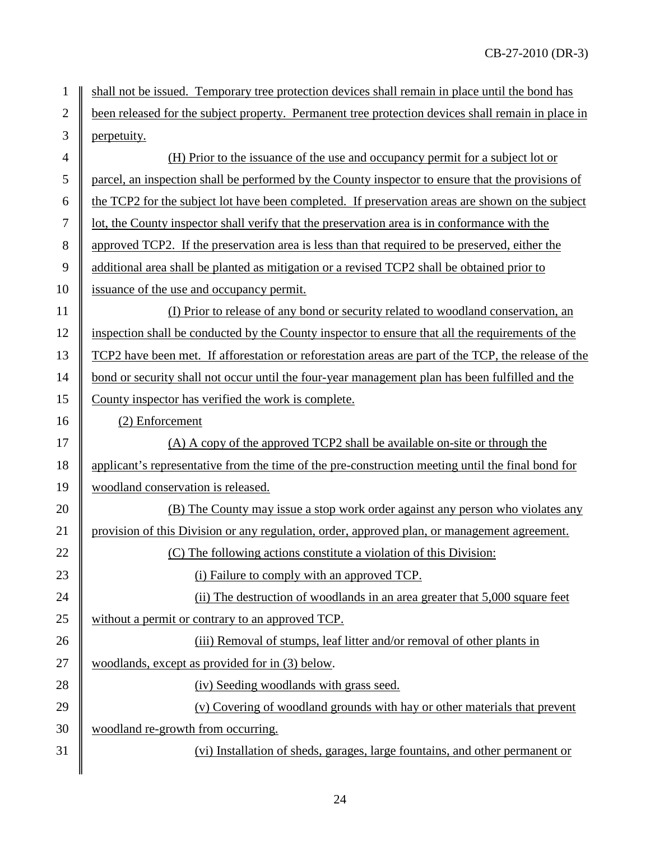| $\mathbf{1}$   | shall not be issued. Temporary tree protection devices shall remain in place until the bond has     |  |  |
|----------------|-----------------------------------------------------------------------------------------------------|--|--|
| $\mathbf{2}$   | been released for the subject property. Permanent tree protection devices shall remain in place in  |  |  |
| $\mathfrak{Z}$ | perpetuity.                                                                                         |  |  |
| $\overline{4}$ | (H) Prior to the issuance of the use and occupancy permit for a subject lot or                      |  |  |
| 5              | parcel, an inspection shall be performed by the County inspector to ensure that the provisions of   |  |  |
| 6              | the TCP2 for the subject lot have been completed. If preservation areas are shown on the subject    |  |  |
| 7              | lot, the County inspector shall verify that the preservation area is in conformance with the        |  |  |
| 8              | approved TCP2. If the preservation area is less than that required to be preserved, either the      |  |  |
| 9              | additional area shall be planted as mitigation or a revised TCP2 shall be obtained prior to         |  |  |
| 10             | issuance of the use and occupancy permit.                                                           |  |  |
| 11             | (I) Prior to release of any bond or security related to woodland conservation, an                   |  |  |
| 12             | inspection shall be conducted by the County inspector to ensure that all the requirements of the    |  |  |
| 13             | TCP2 have been met. If afforestation or reforestation areas are part of the TCP, the release of the |  |  |
| 14             | bond or security shall not occur until the four-year management plan has been fulfilled and the     |  |  |
| 15             | County inspector has verified the work is complete.                                                 |  |  |
| 16             | (2) Enforcement                                                                                     |  |  |
| 17             | (A) A copy of the approved TCP2 shall be available on-site or through the                           |  |  |
| 18             | applicant's representative from the time of the pre-construction meeting until the final bond for   |  |  |
| 19             | woodland conservation is released.                                                                  |  |  |
| 20             | (B) The County may issue a stop work order against any person who violates any                      |  |  |
| 21             | provision of this Division or any regulation, order, approved plan, or management agreement.        |  |  |
| 22             | (C) The following actions constitute a violation of this Division:                                  |  |  |
| 23             | (i) Failure to comply with an approved TCP.                                                         |  |  |
| 24             | (ii) The destruction of woodlands in an area greater that 5,000 square feet                         |  |  |
| 25             | without a permit or contrary to an approved TCP.                                                    |  |  |
| 26             | (iii) Removal of stumps, leaf litter and/or removal of other plants in                              |  |  |
| 27             | woodlands, except as provided for in (3) below.                                                     |  |  |
| 28             | (iv) Seeding woodlands with grass seed.                                                             |  |  |
| 29             | (v) Covering of woodland grounds with hay or other materials that prevent                           |  |  |
| 30             | woodland re-growth from occurring.                                                                  |  |  |
| 31             | (vi) Installation of sheds, garages, large fountains, and other permanent or                        |  |  |
|                |                                                                                                     |  |  |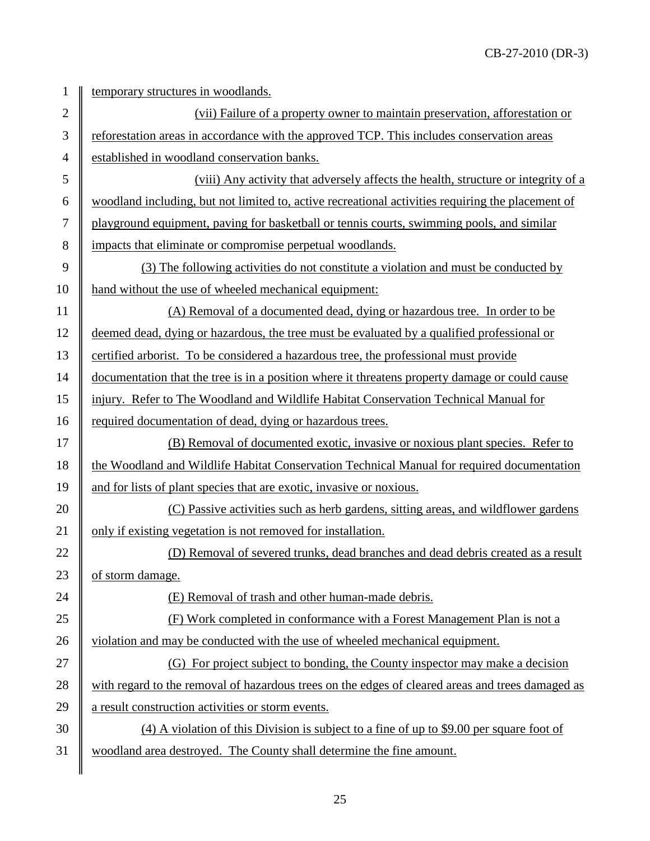| 1            | temporary structures in woodlands.                                                                |
|--------------|---------------------------------------------------------------------------------------------------|
| $\mathbf{2}$ | (vii) Failure of a property owner to maintain preservation, afforestation or                      |
| 3            | reforestation areas in accordance with the approved TCP. This includes conservation areas         |
| 4            | established in woodland conservation banks.                                                       |
| 5            | (viii) Any activity that adversely affects the health, structure or integrity of a                |
| 6            | woodland including, but not limited to, active recreational activities requiring the placement of |
| 7            | playground equipment, paving for basketball or tennis courts, swimming pools, and similar         |
| 8            | impacts that eliminate or compromise perpetual woodlands.                                         |
| 9            | (3) The following activities do not constitute a violation and must be conducted by               |
| 10           | hand without the use of wheeled mechanical equipment:                                             |
| 11           | (A) Removal of a documented dead, dying or hazardous tree. In order to be                         |
| 12           | deemed dead, dying or hazardous, the tree must be evaluated by a qualified professional or        |
| 13           | certified arborist. To be considered a hazardous tree, the professional must provide              |
| 14           | documentation that the tree is in a position where it threatens property damage or could cause    |
| 15           | injury. Refer to The Woodland and Wildlife Habitat Conservation Technical Manual for              |
| 16           | required documentation of dead, dying or hazardous trees.                                         |
| 17           | (B) Removal of documented exotic, invasive or noxious plant species. Refer to                     |
| 18           | the Woodland and Wildlife Habitat Conservation Technical Manual for required documentation        |
| 19           | and for lists of plant species that are exotic, invasive or noxious.                              |
| 20           | (C) Passive activities such as herb gardens, sitting areas, and wildflower gardens                |
| 21           | only if existing vegetation is not removed for installation.                                      |
| 22           | (D) Removal of severed trunks, dead branches and dead debris created as a result                  |
| 23           | of storm damage.                                                                                  |
| 24           | (E) Removal of trash and other human-made debris.                                                 |
| 25           | (F) Work completed in conformance with a Forest Management Plan is not a                          |
| 26           | violation and may be conducted with the use of wheeled mechanical equipment.                      |
| 27           | (G) For project subject to bonding, the County inspector may make a decision                      |
| 28           | with regard to the removal of hazardous trees on the edges of cleared areas and trees damaged as  |
| 29           | a result construction activities or storm events.                                                 |
| 30           | $(4)$ A violation of this Division is subject to a fine of up to \$9.00 per square foot of        |
| 31           | woodland area destroyed. The County shall determine the fine amount.                              |
|              |                                                                                                   |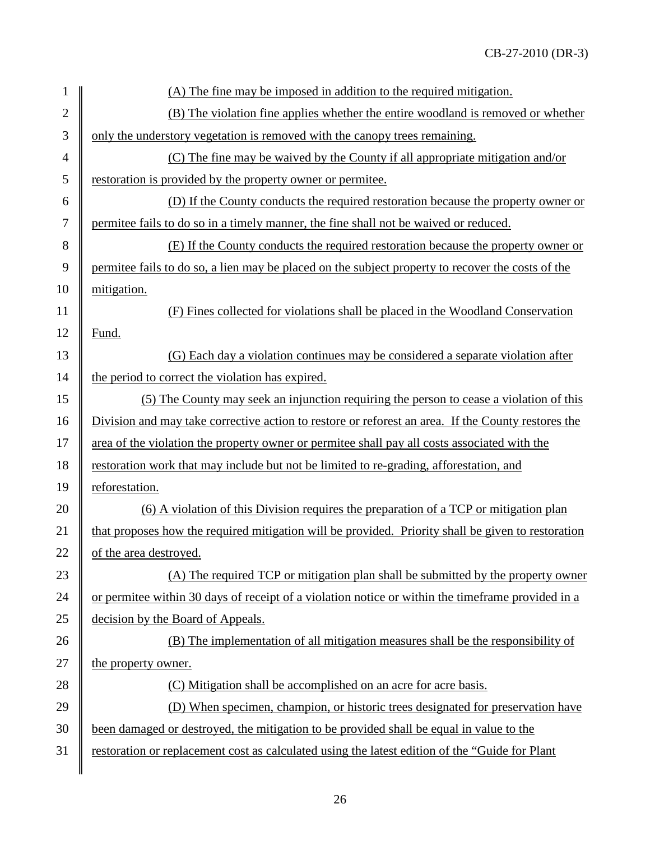| 1              | (A) The fine may be imposed in addition to the required mitigation.                                |
|----------------|----------------------------------------------------------------------------------------------------|
| $\overline{2}$ | (B) The violation fine applies whether the entire woodland is removed or whether                   |
| 3              | only the understory vegetation is removed with the canopy trees remaining.                         |
| $\overline{4}$ | (C) The fine may be waived by the County if all appropriate mitigation and/or                      |
| 5              | restoration is provided by the property owner or permitee.                                         |
| 6              | (D) If the County conducts the required restoration because the property owner or                  |
| $\tau$         | permittee fails to do so in a timely manner, the fine shall not be waived or reduced.              |
| 8              | (E) If the County conducts the required restoration because the property owner or                  |
| 9              | permittee fails to do so, a lien may be placed on the subject property to recover the costs of the |
| 10             | mitigation.                                                                                        |
| 11             | (F) Fines collected for violations shall be placed in the Woodland Conservation                    |
| 12             | Fund.                                                                                              |
| 13             | (G) Each day a violation continues may be considered a separate violation after                    |
| 14             | the period to correct the violation has expired.                                                   |
| 15             | (5) The County may seek an injunction requiring the person to cease a violation of this            |
| 16             | Division and may take corrective action to restore or reforest an area. If the County restores the |
| 17             | area of the violation the property owner or permitee shall pay all costs associated with the       |
| 18             | restoration work that may include but not be limited to re-grading, afforestation, and             |
| 19             | reforestation.                                                                                     |
| 20             | (6) A violation of this Division requires the preparation of a TCP or mitigation plan              |
| 21             | that proposes how the required mitigation will be provided. Priority shall be given to restoration |
| 22             | of the area destroyed.                                                                             |
| 23             | (A) The required TCP or mitigation plan shall be submitted by the property owner                   |
| 24             | or permitee within 30 days of receipt of a violation notice or within the timeframe provided in a  |
| 25             | decision by the Board of Appeals.                                                                  |
| 26             | (B) The implementation of all mitigation measures shall be the responsibility of                   |
| 27             | the property owner.                                                                                |
| 28             | (C) Mitigation shall be accomplished on an acre for acre basis.                                    |
| 29             | (D) When specimen, champion, or historic trees designated for preservation have                    |
| 30             | been damaged or destroyed, the mitigation to be provided shall be equal in value to the            |
| 31             | restoration or replacement cost as calculated using the latest edition of the "Guide for Plant"    |
|                |                                                                                                    |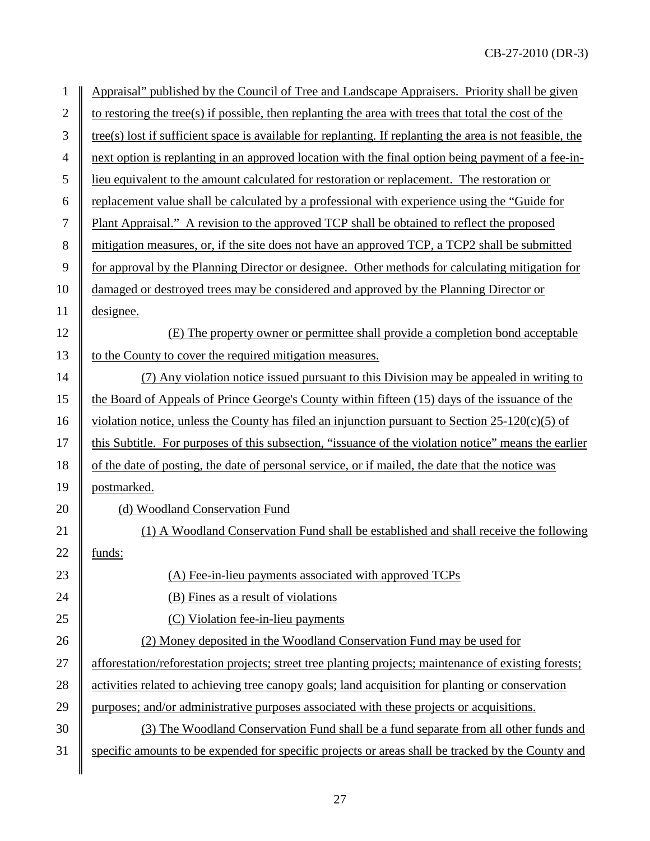| $\mathbf{1}$   | Appraisal" published by the Council of Tree and Landscape Appraisers. Priority shall be given               |
|----------------|-------------------------------------------------------------------------------------------------------------|
| $\mathbf{2}$   | to restoring the tree(s) if possible, then replanting the area with trees that total the cost of the        |
| 3              | $tree(s)$ lost if sufficient space is available for replanting. If replanting the area is not feasible, the |
| $\overline{4}$ | next option is replanting in an approved location with the final option being payment of a fee-in-          |
| 5              | lieu equivalent to the amount calculated for restoration or replacement. The restoration or                 |
| 6              | replacement value shall be calculated by a professional with experience using the "Guide for                |
| $\tau$         | Plant Appraisal." A revision to the approved TCP shall be obtained to reflect the proposed                  |
| 8              | mitigation measures, or, if the site does not have an approved TCP, a TCP2 shall be submitted               |
| 9              | for approval by the Planning Director or designee. Other methods for calculating mitigation for             |
| 10             | damaged or destroyed trees may be considered and approved by the Planning Director or                       |
| 11             | designee.                                                                                                   |
| 12             | (E) The property owner or permittee shall provide a completion bond acceptable                              |
| 13             | to the County to cover the required mitigation measures.                                                    |
| 14             | (7) Any violation notice issued pursuant to this Division may be appealed in writing to                     |
| 15             | the Board of Appeals of Prince George's County within fifteen (15) days of the issuance of the              |
| 16             | violation notice, unless the County has filed an injunction pursuant to Section $25-120(c)(5)$ of           |
| 17             | this Subtitle. For purposes of this subsection, "issuance of the violation notice" means the earlier        |
| 18             | of the date of posting, the date of personal service, or if mailed, the date that the notice was            |
| 19             | postmarked.                                                                                                 |
| 20             | (d) Woodland Conservation Fund                                                                              |
| 21             | (1) A Woodland Conservation Fund shall be established and shall receive the following                       |
| 22             | funds:                                                                                                      |
| 23             | (A) Fee-in-lieu payments associated with approved TCPs                                                      |
| 24             | (B) Fines as a result of violations                                                                         |
| 25             | (C) Violation fee-in-lieu payments                                                                          |
| 26             | (2) Money deposited in the Woodland Conservation Fund may be used for                                       |
| 27             | afforestation/reforestation projects; street tree planting projects; maintenance of existing forests;       |
| 28             | activities related to achieving tree canopy goals; land acquisition for planting or conservation            |
| 29             | purposes; and/or administrative purposes associated with these projects or acquisitions.                    |
| 30             | (3) The Woodland Conservation Fund shall be a fund separate from all other funds and                        |
| 31             | specific amounts to be expended for specific projects or areas shall be tracked by the County and           |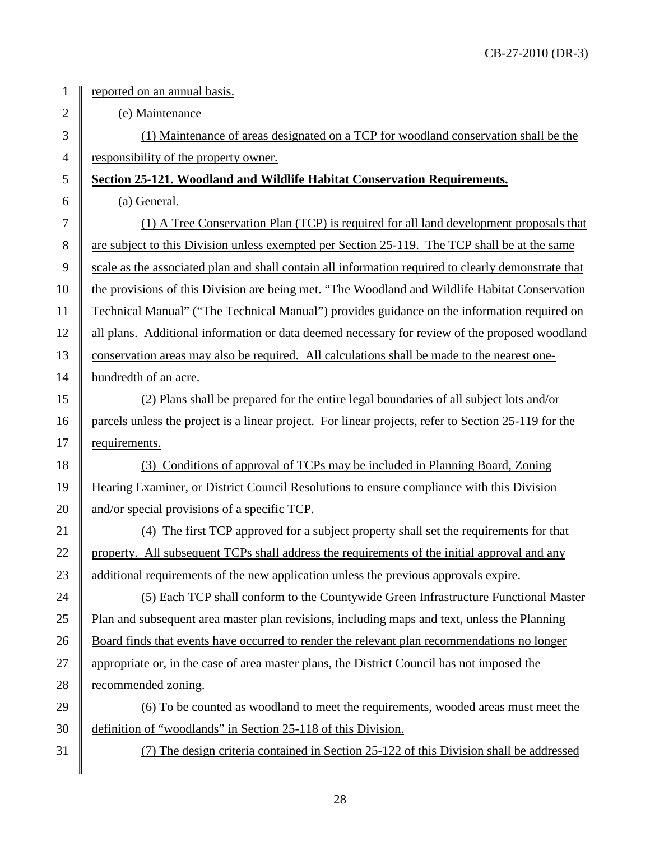1 | reported on an annual basis. 2 (e) Maintenance 3 (1) Maintenance of areas designated on a TCP for woodland conservation shall be the  $4 \parallel$  <u>responsibility of the property owner.</u> 5 **Section 25-121. Woodland and Wildlife Habitat Conservation Requirements.** 6  $\parallel$  (a) General. 7 (1) A Tree Conservation Plan (TCP) is required for all land development proposals that 8 are subject to this Division unless exempted per Section 25-119. The TCP shall be at the same 9 scale as the associated plan and shall contain all information required to clearly demonstrate that 10 the provisions of this Division are being met. "The Woodland and Wildlife Habitat Conservation 11 Technical Manual" ("The Technical Manual") provides guidance on the information required on 12 | all plans. Additional information or data deemed necessary for review of the proposed woodland 13 conservation areas may also be required. All calculations shall be made to the nearest one-14 | hundredth of an acre. 15 (2) Plans shall be prepared for the entire legal boundaries of all subject lots and/or 16 parcels unless the project is a linear project. For linear projects, refer to Section 25-119 for the 17 | requirements. 18 (3) Conditions of approval of TCPs may be included in Planning Board, Zoning 19 Hearing Examiner, or District Council Resolutions to ensure compliance with this Division 20  $\parallel$  and/or special provisions of a specific TCP. 21 (4) The first TCP approved for a subject property shall set the requirements for that 22 property. All subsequent TCPs shall address the requirements of the initial approval and any 23 diam-<br>23 diam-approvals expired additional requirements of the new application unless the previous approvals expire. 24 (5) Each TCP shall conform to the Countywide Green Infrastructure Functional Master 25 Plan and subsequent area master plan revisions, including maps and text, unless the Planning 26 **Board finds that events have occurred to render the relevant plan recommendations no longer** 27 appropriate or, in the case of area master plans, the District Council has not imposed the 28 commended zoning. 29  $\parallel$  (6) To be counted as woodland to meet the requirements, wooded areas must meet the 30 definition of "woodlands" in Section 25-118 of this Division.

31 (7) The design criteria contained in Section 25-122 of this Division shall be addressed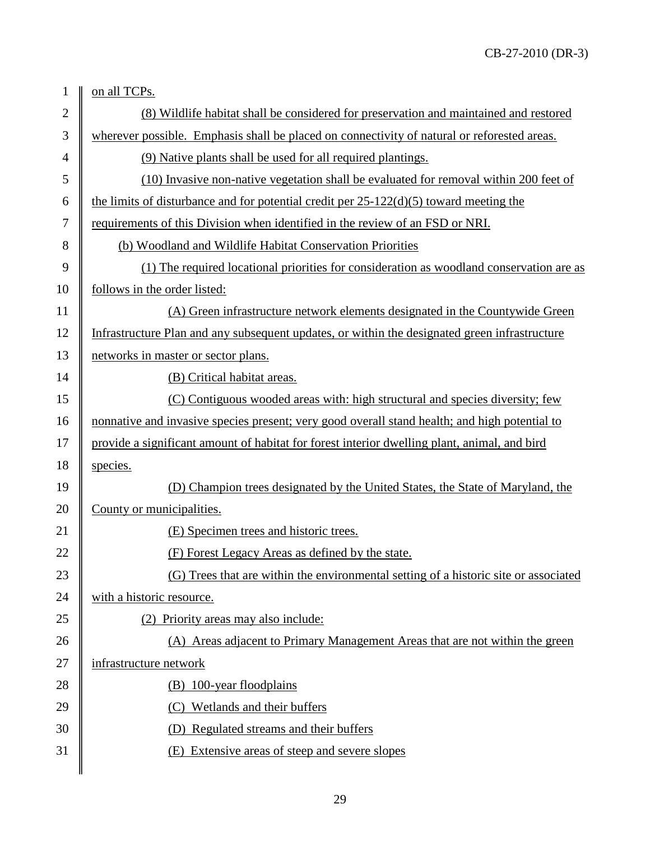| $\mathbf{1}$   | on all TCPs.                                                                                  |
|----------------|-----------------------------------------------------------------------------------------------|
| $\overline{2}$ | (8) Wildlife habitat shall be considered for preservation and maintained and restored         |
| 3              | wherever possible. Emphasis shall be placed on connectivity of natural or reforested areas.   |
| $\overline{4}$ | (9) Native plants shall be used for all required plantings.                                   |
| 5              | (10) Invasive non-native vegetation shall be evaluated for removal within 200 feet of         |
| 6              | the limits of disturbance and for potential credit per $25-122(d)(5)$ toward meeting the      |
| 7              | requirements of this Division when identified in the review of an FSD or NRI.                 |
| 8              | (b) Woodland and Wildlife Habitat Conservation Priorities                                     |
| 9              | (1) The required locational priorities for consideration as woodland conservation are as      |
| 10             | follows in the order listed:                                                                  |
| 11             | (A) Green infrastructure network elements designated in the Countywide Green                  |
| 12             | Infrastructure Plan and any subsequent updates, or within the designated green infrastructure |
| 13             | networks in master or sector plans.                                                           |
| 14             | (B) Critical habitat areas.                                                                   |
| 15             | (C) Contiguous wooded areas with: high structural and species diversity; few                  |
| 16             | nonnative and invasive species present; very good overall stand health; and high potential to |
| 17             | provide a significant amount of habitat for forest interior dwelling plant, animal, and bird  |
| 18             | species.                                                                                      |
| 19             | (D) Champion trees designated by the United States, the State of Maryland, the                |
| 20             | County or municipalities.                                                                     |
| 21             | (E) Specimen trees and historic trees.                                                        |
| 22             | (F) Forest Legacy Areas as defined by the state.                                              |
| 23             | (G) Trees that are within the environmental setting of a historic site or associated          |
| 24             | with a historic resource.                                                                     |
| 25             | Priority areas may also include:                                                              |
| 26             | (A) Areas adjacent to Primary Management Areas that are not within the green                  |
| 27             | infrastructure network                                                                        |
| 28             | (B) 100-year floodplains                                                                      |
| 29             | Wetlands and their buffers                                                                    |
| 30             | Regulated streams and their buffers                                                           |
| 31             | Extensive areas of steep and severe slopes<br>(E)                                             |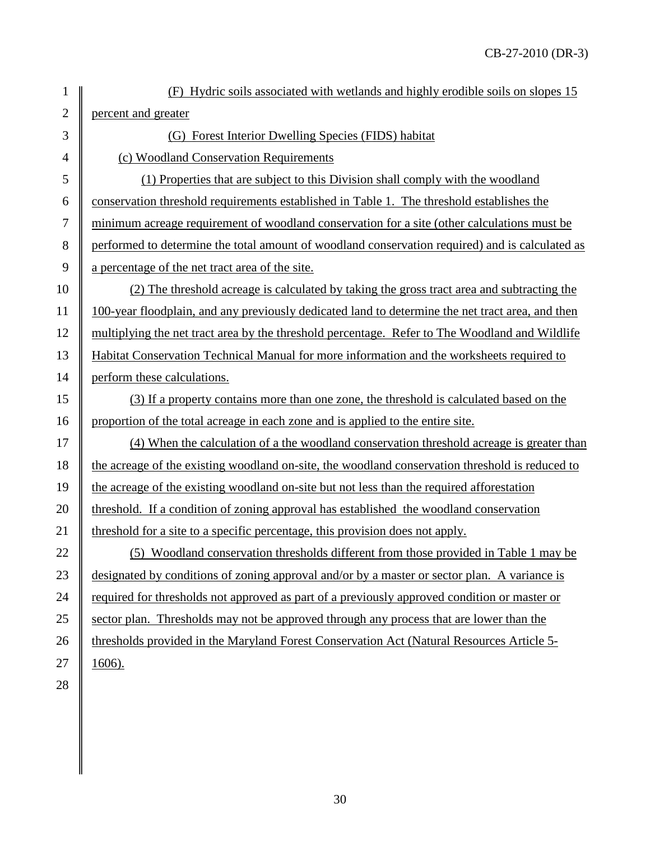| $\mathbf{1}$   | (F) Hydric soils associated with wetlands and highly erodible soils on slopes 15                 |
|----------------|--------------------------------------------------------------------------------------------------|
| $\overline{2}$ | percent and greater                                                                              |
| 3              | (G) Forest Interior Dwelling Species (FIDS) habitat                                              |
| $\overline{4}$ | (c) Woodland Conservation Requirements                                                           |
| 5              | (1) Properties that are subject to this Division shall comply with the woodland                  |
| 6              | conservation threshold requirements established in Table 1. The threshold establishes the        |
| $\tau$         | minimum acreage requirement of woodland conservation for a site (other calculations must be      |
| 8              | performed to determine the total amount of woodland conservation required) and is calculated as  |
| 9              | a percentage of the net tract area of the site.                                                  |
| 10             | (2) The threshold acreage is calculated by taking the gross tract area and subtracting the       |
| 11             | 100-year floodplain, and any previously dedicated land to determine the net tract area, and then |
| 12             | multiplying the net tract area by the threshold percentage. Refer to The Woodland and Wildlife   |
| 13             | Habitat Conservation Technical Manual for more information and the worksheets required to        |
| 14             | perform these calculations.                                                                      |
| 15             | (3) If a property contains more than one zone, the threshold is calculated based on the          |
| 16             | proportion of the total acreage in each zone and is applied to the entire site.                  |
| 17             | (4) When the calculation of a the woodland conservation threshold acreage is greater than        |
| 18             | the acreage of the existing woodland on-site, the woodland conservation threshold is reduced to  |
| 19             | the acreage of the existing woodland on-site but not less than the required afforestation        |
| 20             | threshold. If a condition of zoning approval has established the woodland conservation           |
| 21             | threshold for a site to a specific percentage, this provision does not apply.                    |
| 22             | (5) Woodland conservation thresholds different from those provided in Table 1 may be             |
| 23             | designated by conditions of zoning approval and/or by a master or sector plan. A variance is     |
| 24             | required for thresholds not approved as part of a previously approved condition or master or     |
| 25             | sector plan. Thresholds may not be approved through any process that are lower than the          |
| 26             | thresholds provided in the Maryland Forest Conservation Act (Natural Resources Article 5-        |
| 27             | $1606$ ).                                                                                        |

28

30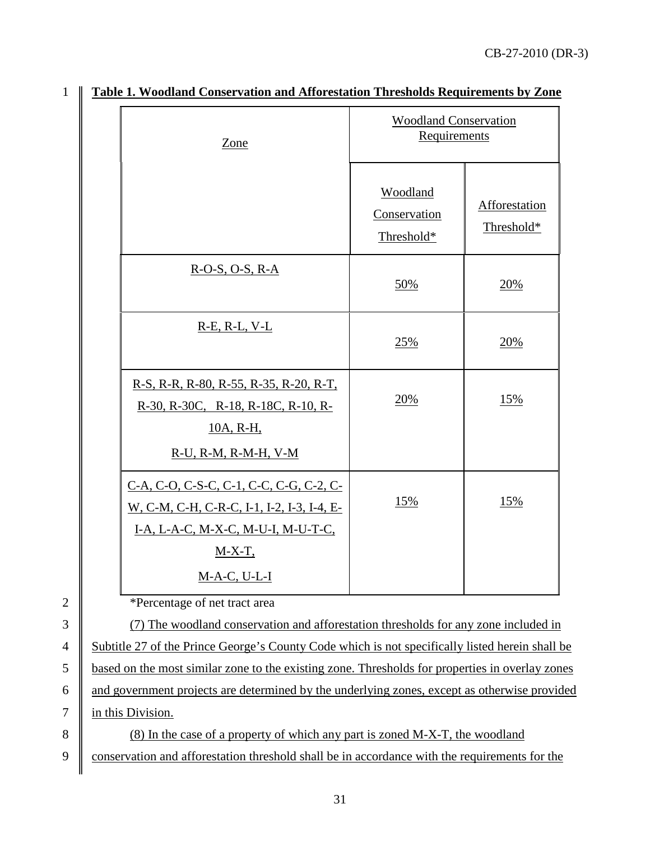| Zone                                                                                                                        | <b>Woodland Conservation</b><br>Requirements |                             |
|-----------------------------------------------------------------------------------------------------------------------------|----------------------------------------------|-----------------------------|
|                                                                                                                             | Woodland<br>Conservation<br>Threshold*       | Afforestation<br>Threshold* |
| $R-O-S, O-S, R-A$                                                                                                           | 50%                                          | 20%                         |
| $R-E$ , $R-L$ , $V-L$                                                                                                       | 25%                                          | 20%                         |
| R-S, R-R, R-80, R-55, R-35, R-20, R-T,<br>R-30, R-30C, R-18, R-18C, R-10, R-<br>10A, R-H,                                   | 20%                                          | 15%                         |
| $R-U$ , $R-M$ , $R-M-H$ , $V-M$                                                                                             |                                              |                             |
| C-A, C-O, C-S-C, C-1, C-C, C-G, C-2, C-<br>W, C-M, C-H, C-R-C, I-1, I-2, I-3, I-4, E-<br>I-A, L-A-C, M-X-C, M-U-I, M-U-T-C, | 15%                                          | 15%                         |
| $M-X-T$ ,<br>$M-A-C, U-L-I$                                                                                                 |                                              |                             |

## 1 **Table 1. Woodland Conservation and Afforestation Thresholds Requirements by Zone**

2 **\*Percentage of net tract area** 

3 (7) The woodland conservation and afforestation thresholds for any zone included in 4 Subtitle 27 of the Prince George's County Code which is not specifically listed herein shall be 5 based on the most similar zone to the existing zone. Thresholds for properties in overlay zones  $6 \parallel$  and government projects are determined by the underlying zones, except as otherwise provided 7 | in this Division.

8 (8) In the case of a property of which any part is zoned M-X-T, the woodland 9 conservation and afforestation threshold shall be in accordance with the requirements for the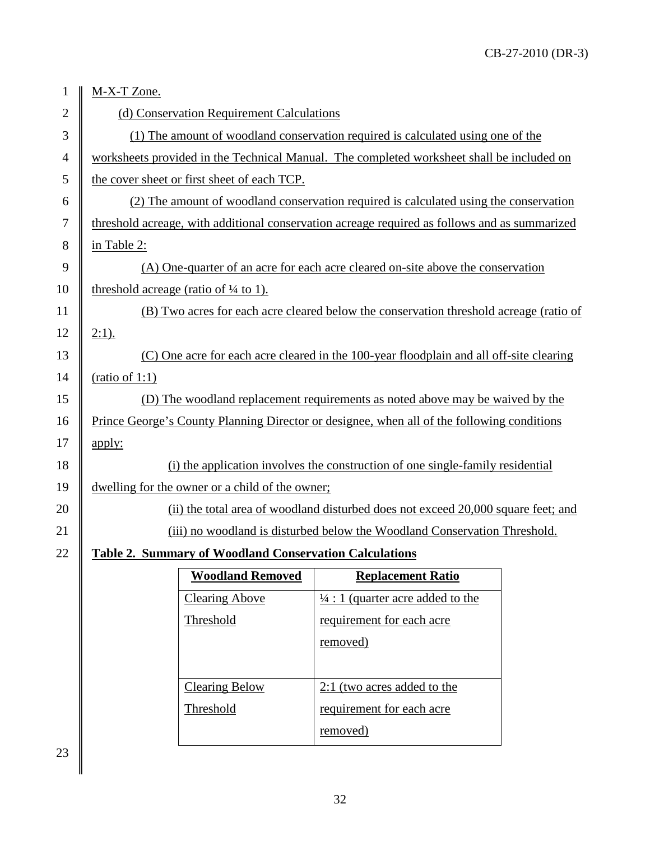| 1              | M-X-T Zone.                                                                                   |                                                                                         |  |
|----------------|-----------------------------------------------------------------------------------------------|-----------------------------------------------------------------------------------------|--|
| $\overline{2}$ | (d) Conservation Requirement Calculations                                                     |                                                                                         |  |
| 3              |                                                                                               | (1) The amount of woodland conservation required is calculated using one of the         |  |
| 4              | worksheets provided in the Technical Manual. The completed worksheet shall be included on     |                                                                                         |  |
| 5              | the cover sheet or first sheet of each TCP.                                                   |                                                                                         |  |
| 6              |                                                                                               | (2) The amount of woodland conservation required is calculated using the conservation   |  |
| $\tau$         | threshold acreage, with additional conservation acreage required as follows and as summarized |                                                                                         |  |
| 8              | in Table 2:                                                                                   |                                                                                         |  |
| 9              |                                                                                               | (A) One-quarter of an acre for each acre cleared on-site above the conservation         |  |
| 10             | threshold acreage (ratio of $\frac{1}{4}$ to 1).                                              |                                                                                         |  |
| 11             |                                                                                               | (B) Two acres for each acre cleared below the conservation threshold acreage (ratio of  |  |
| 12             | $2:1$ ).                                                                                      |                                                                                         |  |
| 13             |                                                                                               | (C) One acre for each acre cleared in the 100-year floodplain and all off-site clearing |  |
| 14             | (ratio of 1:1)                                                                                |                                                                                         |  |
| 15             |                                                                                               | (D) The woodland replacement requirements as noted above may be waived by the           |  |
| 16             | Prince George's County Planning Director or designee, when all of the following conditions    |                                                                                         |  |
| 17             | apply:                                                                                        |                                                                                         |  |
| 18             | (i) the application involves the construction of one single-family residential                |                                                                                         |  |
| 19             | dwelling for the owner or a child of the owner;                                               |                                                                                         |  |
| 20             |                                                                                               | (ii) the total area of woodland disturbed does not exceed 20,000 square feet; and       |  |
| 21             |                                                                                               | (iii) no woodland is disturbed below the Woodland Conservation Threshold.               |  |
| 22             | <b>Table 2. Summary of Woodland Conservation Calculations</b>                                 |                                                                                         |  |
|                | <b>Woodland Removed</b>                                                                       | <b>Replacement Ratio</b>                                                                |  |
|                | <b>Clearing Above</b>                                                                         | $\frac{1}{4}$ : 1 (quarter acre added to the                                            |  |
|                | Threshold                                                                                     | requirement for each acre                                                               |  |
|                |                                                                                               | removed)                                                                                |  |
|                |                                                                                               |                                                                                         |  |
|                | <b>Clearing Below</b>                                                                         | 2:1 (two acres added to the                                                             |  |
|                | Threshold                                                                                     | requirement for each acre                                                               |  |

removed)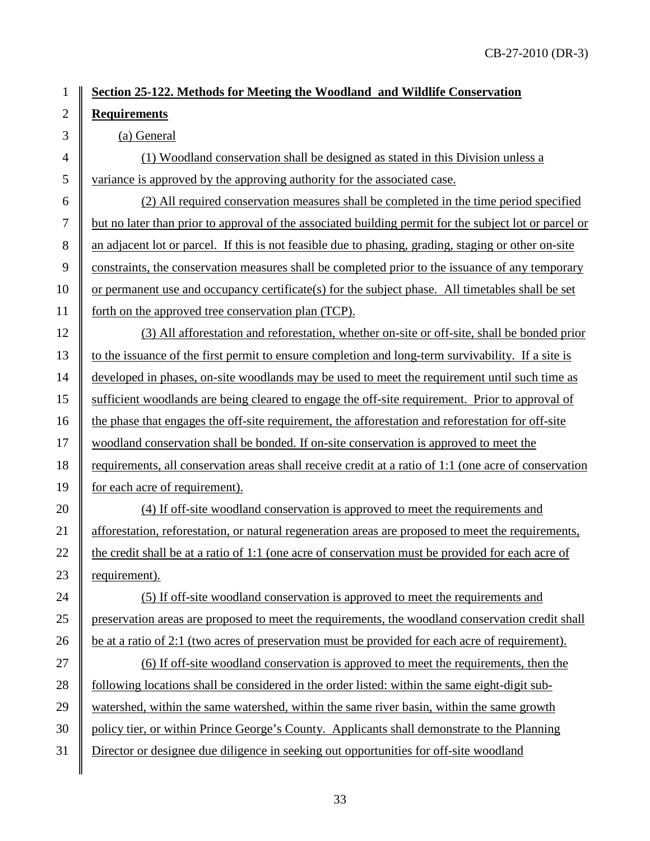## **Section 25-122. Methods for Meeting the Woodland and Wildlife Conservation Requirements**

### (a) General

4  $\parallel$  (1) Woodland conservation shall be designed as stated in this Division unless a variance is approved by the approving authority for the associated case.

 (2) All required conservation measures shall be completed in the time period specified but no later than prior to approval of the associated building permit for the subject lot or parcel or 8 an adjacent lot or parcel. If this is not feasible due to phasing, grading, staging or other on-site 9 constraints, the conservation measures shall be completed prior to the issuance of any temporary  $\parallel$  or permanent use and occupancy certificate(s) for the subject phase. All timetables shall be set forth on the approved tree conservation plan (TCP).

 (3) All afforestation and reforestation, whether on-site or off-site, shall be bonded prior to the issuance of the first permit to ensure completion and long-term survivability. If a site is developed in phases, on-site woodlands may be used to meet the requirement until such time as sufficient woodlands are being cleared to engage the off-site requirement. Prior to approval of 16 the phase that engages the off-site requirement, the afforestation and reforestation for off-site woodland conservation shall be bonded. If on-site conservation is approved to meet the requirements, all conservation areas shall receive credit at a ratio of 1:1 (one acre of conservation 19 for each acre of requirement).

20 (4) 20 (4) If off-site woodland conservation is approved to meet the requirements and afforestation, reforestation, or natural regeneration areas are proposed to meet the requirements,  $\parallel$  the credit shall be at a ratio of 1:1 (one acre of conservation must be provided for each acre of requirement).

24 (5) 24 (5) If off-site woodland conservation is approved to meet the requirements and preservation areas are proposed to meet the requirements, the woodland conservation credit shall 26 be at a ratio of 2:1 (two acres of preservation must be provided for each acre of requirement).

 $\parallel$  (6) If off-site woodland conservation is approved to meet the requirements, then the  $\parallel$  following locations shall be considered in the order listed: within the same eight-digit sub- watershed, within the same watershed, within the same river basin, within the same growth | policy tier, or within Prince George's County. Applicants shall demonstrate to the Planning Director or designee due diligence in seeking out opportunities for off-site woodland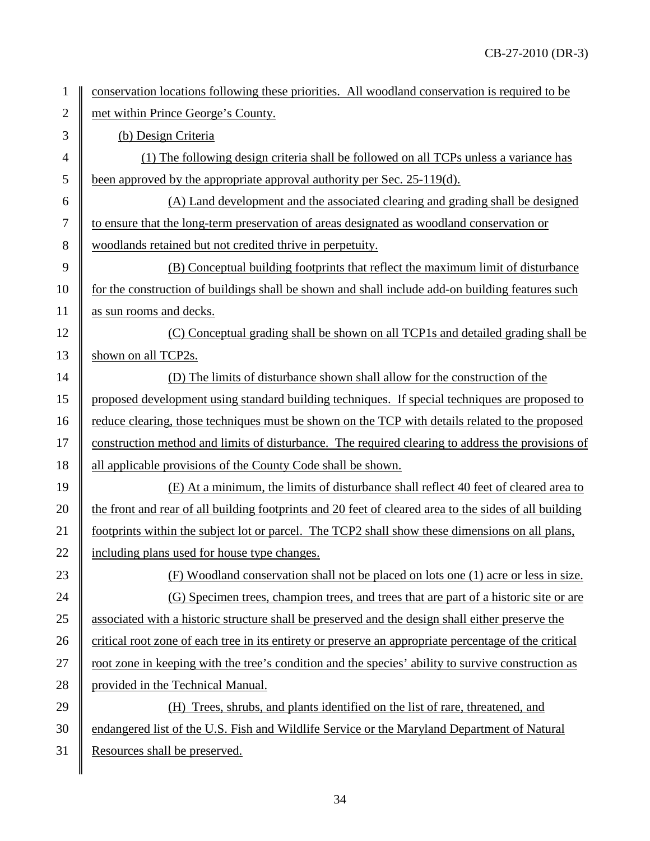| $\mathbf{1}$   | conservation locations following these priorities. All woodland conservation is required to be         |
|----------------|--------------------------------------------------------------------------------------------------------|
| $\overline{2}$ | met within Prince George's County.                                                                     |
| 3              | (b) Design Criteria                                                                                    |
| $\overline{4}$ | (1) The following design criteria shall be followed on all TCPs unless a variance has                  |
| 5              | been approved by the appropriate approval authority per Sec. 25-119(d).                                |
| 6              | (A) Land development and the associated clearing and grading shall be designed                         |
| $\tau$         | to ensure that the long-term preservation of areas designated as woodland conservation or              |
| 8              | woodlands retained but not credited thrive in perpetuity.                                              |
| 9              | (B) Conceptual building footprints that reflect the maximum limit of disturbance                       |
| 10             | for the construction of buildings shall be shown and shall include add-on building features such       |
| 11             | as sun rooms and decks.                                                                                |
| 12             | (C) Conceptual grading shall be shown on all TCP1s and detailed grading shall be                       |
| 13             | shown on all TCP2s.                                                                                    |
| 14             | (D) The limits of disturbance shown shall allow for the construction of the                            |
| 15             | proposed development using standard building techniques. If special techniques are proposed to         |
| 16             | reduce clearing, those techniques must be shown on the TCP with details related to the proposed        |
| 17             | construction method and limits of disturbance. The required clearing to address the provisions of      |
| 18             | all applicable provisions of the County Code shall be shown.                                           |
| 19             | (E) At a minimum, the limits of disturbance shall reflect 40 feet of cleared area to                   |
| 20             | the front and rear of all building footprints and 20 feet of cleared area to the sides of all building |
| 21             | footprints within the subject lot or parcel. The TCP2 shall show these dimensions on all plans,        |
| 22             | including plans used for house type changes.                                                           |
| 23             | (F) Woodland conservation shall not be placed on lots one (1) acre or less in size.                    |
| 24             | (G) Specimen trees, champion trees, and trees that are part of a historic site or are                  |
| 25             | associated with a historic structure shall be preserved and the design shall either preserve the       |
| 26             | critical root zone of each tree in its entirety or preserve an appropriate percentage of the critical  |
| 27             | root zone in keeping with the tree's condition and the species' ability to survive construction as     |
| 28             | provided in the Technical Manual.                                                                      |
| 29             | (H) Trees, shrubs, and plants identified on the list of rare, threatened, and                          |
| 30             | endangered list of the U.S. Fish and Wildlife Service or the Maryland Department of Natural            |
| 31             | Resources shall be preserved.                                                                          |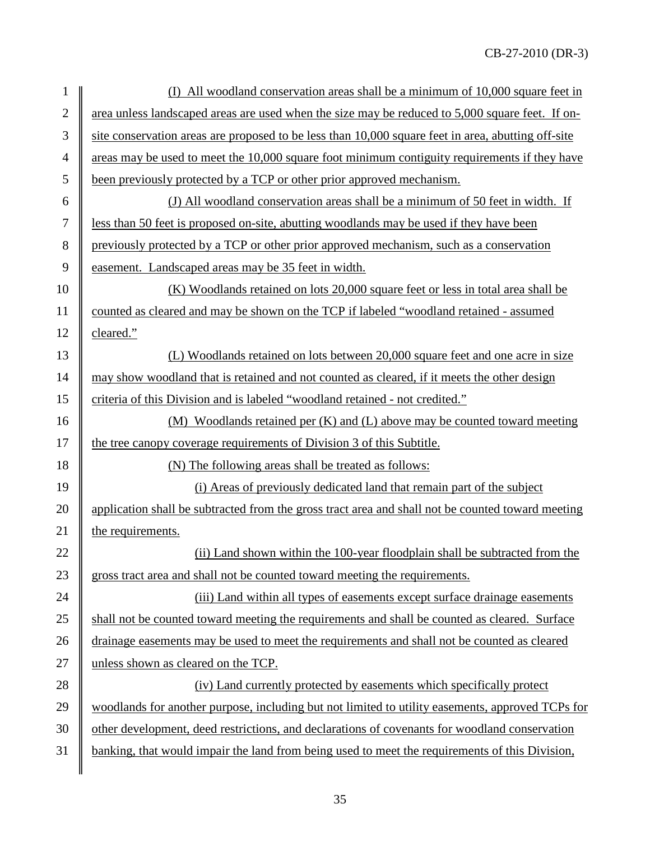| $\mathbf{1}$     | (I) All woodland conservation areas shall be a minimum of 10,000 square feet in                    |  |
|------------------|----------------------------------------------------------------------------------------------------|--|
| $\overline{2}$   | area unless landscaped areas are used when the size may be reduced to 5,000 square feet. If on-    |  |
| 3                | site conservation areas are proposed to be less than 10,000 square feet in area, abutting off-site |  |
| 4                | areas may be used to meet the 10,000 square foot minimum contiguity requirements if they have      |  |
| 5                | been previously protected by a TCP or other prior approved mechanism.                              |  |
| 6                | (J) All woodland conservation areas shall be a minimum of 50 feet in width. If                     |  |
| $\boldsymbol{7}$ | less than 50 feet is proposed on-site, abutting woodlands may be used if they have been            |  |
| $8\,$            | previously protected by a TCP or other prior approved mechanism, such as a conservation            |  |
| 9                | easement. Landscaped areas may be 35 feet in width.                                                |  |
| 10               | (K) Woodlands retained on lots 20,000 square feet or less in total area shall be                   |  |
| 11               | counted as cleared and may be shown on the TCP if labeled "woodland retained - assumed             |  |
| 12               | cleared."                                                                                          |  |
| 13               | (L) Woodlands retained on lots between 20,000 square feet and one acre in size                     |  |
| 14               | may show woodland that is retained and not counted as cleared, if it meets the other design        |  |
| 15               | criteria of this Division and is labeled "woodland retained - not credited."                       |  |
| 16               | (M) Woodlands retained per (K) and (L) above may be counted toward meeting                         |  |
| 17               | the tree canopy coverage requirements of Division 3 of this Subtitle.                              |  |
| 18               | (N) The following areas shall be treated as follows:                                               |  |
| 19               | (i) Areas of previously dedicated land that remain part of the subject                             |  |
| 20               | application shall be subtracted from the gross tract area and shall not be counted toward meeting  |  |
| 21               | the requirements.                                                                                  |  |
| 22               | (ii) Land shown within the 100-year floodplain shall be subtracted from the                        |  |
| 23               | gross tract area and shall not be counted toward meeting the requirements.                         |  |
| 24               | (iii) Land within all types of easements except surface drainage easements                         |  |
| 25               | shall not be counted toward meeting the requirements and shall be counted as cleared. Surface      |  |
| 26               | drainage easements may be used to meet the requirements and shall not be counted as cleared        |  |
| 27               | unless shown as cleared on the TCP.                                                                |  |
| 28               | (iv) Land currently protected by easements which specifically protect                              |  |
| 29               | woodlands for another purpose, including but not limited to utility easements, approved TCPs for   |  |
| 30               | other development, deed restrictions, and declarations of covenants for woodland conservation      |  |
| 31               | banking, that would impair the land from being used to meet the requirements of this Division,     |  |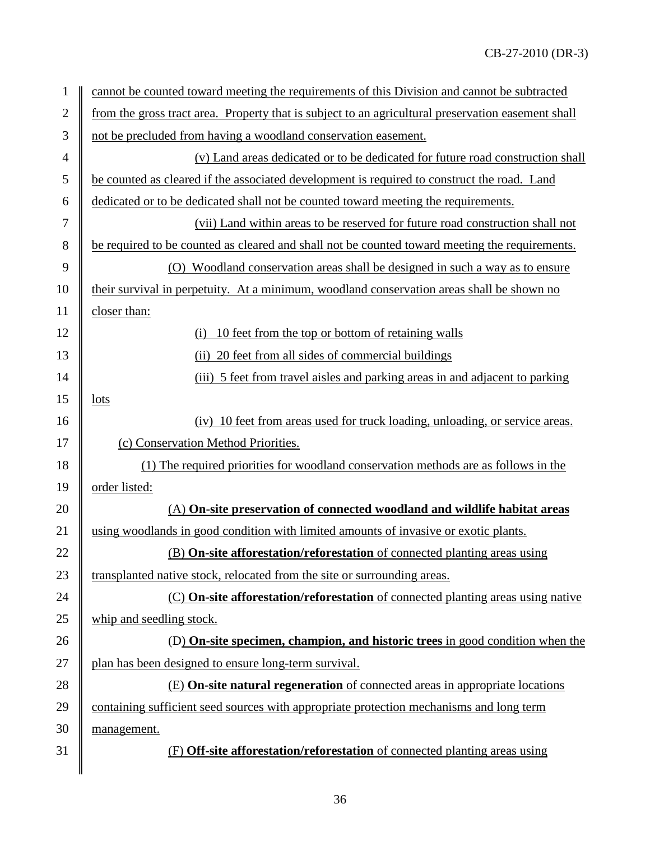| $\mathbf{1}$   | cannot be counted toward meeting the requirements of this Division and cannot be subtracted        |  |  |  |
|----------------|----------------------------------------------------------------------------------------------------|--|--|--|
| $\mathfrak{2}$ | from the gross tract area. Property that is subject to an agricultural preservation easement shall |  |  |  |
| $\mathfrak{Z}$ | not be precluded from having a woodland conservation easement.                                     |  |  |  |
| $\overline{4}$ | (v) Land areas dedicated or to be dedicated for future road construction shall                     |  |  |  |
| 5              | be counted as cleared if the associated development is required to construct the road. Land        |  |  |  |
| 6              | dedicated or to be dedicated shall not be counted toward meeting the requirements.                 |  |  |  |
| 7              | (vii) Land within areas to be reserved for future road construction shall not                      |  |  |  |
| 8              | be required to be counted as cleared and shall not be counted toward meeting the requirements.     |  |  |  |
| 9              | (O) Woodland conservation areas shall be designed in such a way as to ensure                       |  |  |  |
| 10             | their survival in perpetuity. At a minimum, woodland conservation areas shall be shown no          |  |  |  |
| 11             | closer than:                                                                                       |  |  |  |
| 12             | 10 feet from the top or bottom of retaining walls<br>(i)                                           |  |  |  |
| 13             | (ii) 20 feet from all sides of commercial buildings                                                |  |  |  |
| 14             | (iii) 5 feet from travel aisles and parking areas in and adjacent to parking                       |  |  |  |
| 15             | <u>lots</u>                                                                                        |  |  |  |
| 16             | (iv) 10 feet from areas used for truck loading, unloading, or service areas.                       |  |  |  |
| 17             | (c) Conservation Method Priorities.                                                                |  |  |  |
| 18             | (1) The required priorities for woodland conservation methods are as follows in the                |  |  |  |
| 19             | order listed:                                                                                      |  |  |  |
| 20             | (A) On-site preservation of connected woodland and wildlife habitat areas                          |  |  |  |
| 21             | using woodlands in good condition with limited amounts of invasive or exotic plants.               |  |  |  |
| 22             | (B) On-site afforestation/reforestation of connected planting areas using                          |  |  |  |
| 23             | transplanted native stock, relocated from the site or surrounding areas.                           |  |  |  |
| 24             | (C) On-site afforestation/reforestation of connected planting areas using native                   |  |  |  |
| 25             | whip and seedling stock.                                                                           |  |  |  |
| 26             | (D) On-site specimen, champion, and historic trees in good condition when the                      |  |  |  |
| 27             | plan has been designed to ensure long-term survival.                                               |  |  |  |
| 28             | (E) On-site natural regeneration of connected areas in appropriate locations                       |  |  |  |
| 29             | containing sufficient seed sources with appropriate protection mechanisms and long term            |  |  |  |
| 30             | management.                                                                                        |  |  |  |
| 31             | (F) Off-site afforestation/reforestation of connected planting areas using                         |  |  |  |
|                |                                                                                                    |  |  |  |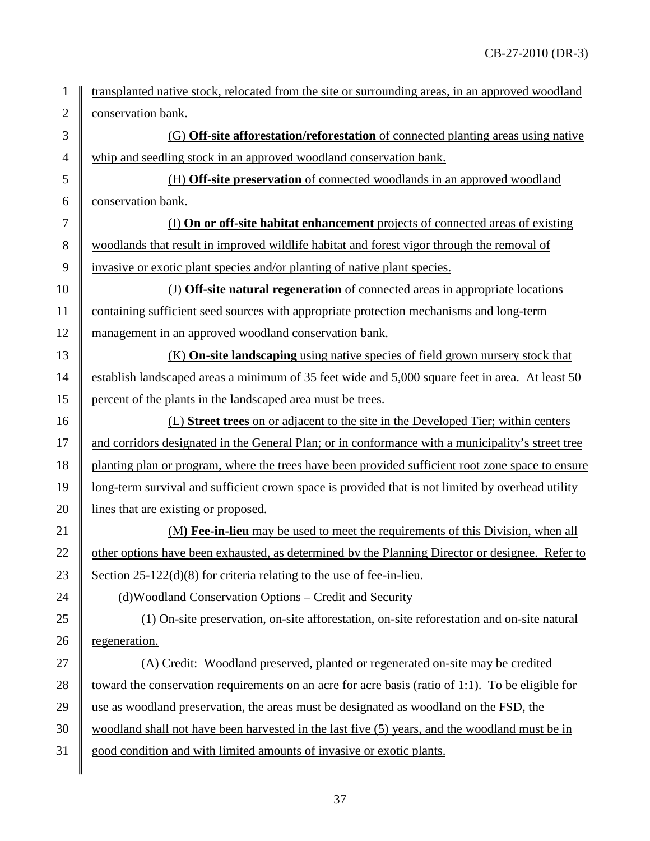| $\mathbf{1}$   | transplanted native stock, relocated from the site or surrounding areas, in an approved woodland  |  |  |
|----------------|---------------------------------------------------------------------------------------------------|--|--|
| $\overline{2}$ | conservation bank.                                                                                |  |  |
| $\mathfrak{Z}$ | (G) Off-site afforestation/reforestation of connected planting areas using native                 |  |  |
| $\overline{4}$ | whip and seedling stock in an approved woodland conservation bank.                                |  |  |
| $\mathfrak{S}$ | (H) Off-site preservation of connected woodlands in an approved woodland                          |  |  |
| 6              | conservation bank.                                                                                |  |  |
| $\tau$         | (I) On or off-site habitat enhancement projects of connected areas of existing                    |  |  |
| 8              | woodlands that result in improved wildlife habitat and forest vigor through the removal of        |  |  |
| 9              | invasive or exotic plant species and/or planting of native plant species.                         |  |  |
| 10             | (J) Off-site natural regeneration of connected areas in appropriate locations                     |  |  |
| 11             | containing sufficient seed sources with appropriate protection mechanisms and long-term           |  |  |
| 12             | management in an approved woodland conservation bank.                                             |  |  |
| 13             | (K) On-site landscaping using native species of field grown nursery stock that                    |  |  |
| 14             | establish landscaped areas a minimum of 35 feet wide and 5,000 square feet in area. At least 50   |  |  |
| 15             | percent of the plants in the landscaped area must be trees.                                       |  |  |
| 16             | (L) Street trees on or adjacent to the site in the Developed Tier; within centers                 |  |  |
| 17             | and corridors designated in the General Plan; or in conformance with a municipality's street tree |  |  |
| 18             | planting plan or program, where the trees have been provided sufficient root zone space to ensure |  |  |
| 19             | long-term survival and sufficient crown space is provided that is not limited by overhead utility |  |  |
| 20             | lines that are existing or proposed.                                                              |  |  |
| 21             | (M) Fee-in-lieu may be used to meet the requirements of this Division, when all                   |  |  |
| 22             | other options have been exhausted, as determined by the Planning Director or designee. Refer to   |  |  |
| 23             | Section $25-122(d)(8)$ for criteria relating to the use of fee-in-lieu.                           |  |  |
| 24             | (d)Woodland Conservation Options – Credit and Security                                            |  |  |
| 25             | (1) On-site preservation, on-site afforestation, on-site reforestation and on-site natural        |  |  |
| 26             | regeneration.                                                                                     |  |  |
| 27             | (A) Credit: Woodland preserved, planted or regenerated on-site may be credited                    |  |  |
| 28             | toward the conservation requirements on an acre for acre basis (ratio of 1:1). To be eligible for |  |  |
| 29             | use as woodland preservation, the areas must be designated as woodland on the FSD, the            |  |  |
| 30             | woodland shall not have been harvested in the last five (5) years, and the woodland must be in    |  |  |
| 31             | good condition and with limited amounts of invasive or exotic plants.                             |  |  |
|                |                                                                                                   |  |  |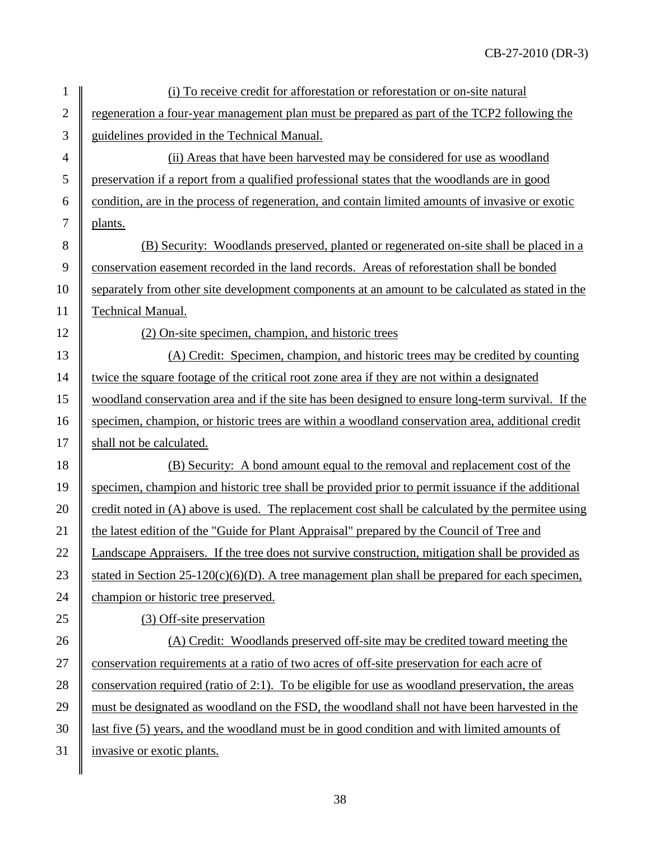| $\mathbf{1}$   | (i) To receive credit for afforestation or reforestation or on-site natural                       |  |  |
|----------------|---------------------------------------------------------------------------------------------------|--|--|
| $\overline{2}$ | regeneration a four-year management plan must be prepared as part of the TCP2 following the       |  |  |
| 3              | guidelines provided in the Technical Manual.                                                      |  |  |
| $\overline{4}$ | (ii) Areas that have been harvested may be considered for use as woodland                         |  |  |
| 5              | preservation if a report from a qualified professional states that the woodlands are in good      |  |  |
| 6              | condition, are in the process of regeneration, and contain limited amounts of invasive or exotic  |  |  |
| $\tau$         | plants.                                                                                           |  |  |
| $8\,$          | (B) Security: Woodlands preserved, planted or regenerated on-site shall be placed in a            |  |  |
| 9              | conservation easement recorded in the land records. Areas of reforestation shall be bonded        |  |  |
| 10             | separately from other site development components at an amount to be calculated as stated in the  |  |  |
| 11             | Technical Manual.                                                                                 |  |  |
| 12             | (2) On-site specimen, champion, and historic trees                                                |  |  |
| 13             | (A) Credit: Specimen, champion, and historic trees may be credited by counting                    |  |  |
| 14             | twice the square footage of the critical root zone area if they are not within a designated       |  |  |
| 15             | woodland conservation area and if the site has been designed to ensure long-term survival. If the |  |  |
| 16             | specimen, champion, or historic trees are within a woodland conservation area, additional credit  |  |  |
| 17             | shall not be calculated.                                                                          |  |  |
| 18             | (B) Security: A bond amount equal to the removal and replacement cost of the                      |  |  |
| 19             | specimen, champion and historic tree shall be provided prior to permit issuance if the additional |  |  |
| 20             | credit noted in (A) above is used. The replacement cost shall be calculated by the permitee using |  |  |
| 21             | the latest edition of the "Guide for Plant Appraisal" prepared by the Council of Tree and         |  |  |
| 22             | Landscape Appraisers. If the tree does not survive construction, mitigation shall be provided as  |  |  |
| 23             | stated in Section $25-120(c)(6)(D)$ . A tree management plan shall be prepared for each specimen, |  |  |
| 24             | champion or historic tree preserved.                                                              |  |  |
| 25             | (3) Off-site preservation                                                                         |  |  |
| 26             | (A) Credit: Woodlands preserved off-site may be credited toward meeting the                       |  |  |
| 27             | conservation requirements at a ratio of two acres of off-site preservation for each acre of       |  |  |
| 28             | conservation required (ratio of 2:1). To be eligible for use as woodland preservation, the areas  |  |  |
| 29             | must be designated as woodland on the FSD, the woodland shall not have been harvested in the      |  |  |
| 30             | last five (5) years, and the woodland must be in good condition and with limited amounts of       |  |  |
| 31             | invasive or exotic plants.                                                                        |  |  |
|                |                                                                                                   |  |  |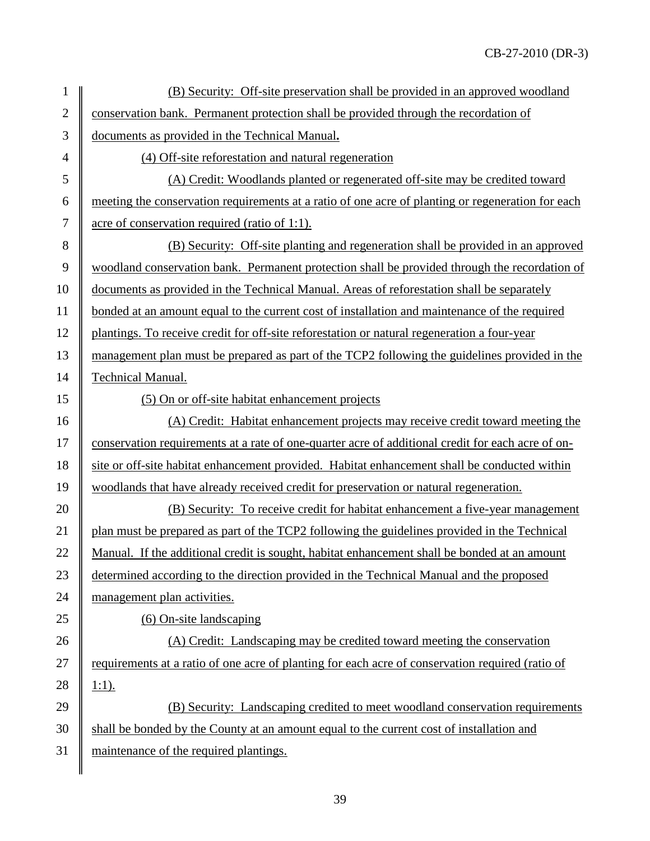| 1              | (B) Security: Off-site preservation shall be provided in an approved woodland                     |  |
|----------------|---------------------------------------------------------------------------------------------------|--|
| $\overline{2}$ | conservation bank. Permanent protection shall be provided through the recordation of              |  |
| 3              | documents as provided in the Technical Manual.                                                    |  |
| $\overline{4}$ | (4) Off-site reforestation and natural regeneration                                               |  |
| 5              | (A) Credit: Woodlands planted or regenerated off-site may be credited toward                      |  |
| 6              | meeting the conservation requirements at a ratio of one acre of planting or regeneration for each |  |
| $\tau$         | acre of conservation required (ratio of 1:1).                                                     |  |
| 8              | (B) Security: Off-site planting and regeneration shall be provided in an approved                 |  |
| 9              | woodland conservation bank. Permanent protection shall be provided through the recordation of     |  |
| 10             | documents as provided in the Technical Manual. Areas of reforestation shall be separately         |  |
| 11             | bonded at an amount equal to the current cost of installation and maintenance of the required     |  |
| 12             | plantings. To receive credit for off-site reforestation or natural regeneration a four-year       |  |
| 13             | management plan must be prepared as part of the TCP2 following the guidelines provided in the     |  |
| 14             | Technical Manual.                                                                                 |  |
| 15             | (5) On or off-site habitat enhancement projects                                                   |  |
| 16             | (A) Credit: Habitat enhancement projects may receive credit toward meeting the                    |  |
| 17             | conservation requirements at a rate of one-quarter acre of additional credit for each acre of on- |  |
| 18             | site or off-site habitat enhancement provided. Habitat enhancement shall be conducted within      |  |
| 19             | woodlands that have already received credit for preservation or natural regeneration.             |  |
| 20             | (B) Security: To receive credit for habitat enhancement a five-year management                    |  |
| 21             | plan must be prepared as part of the TCP2 following the guidelines provided in the Technical      |  |
| 22             | Manual. If the additional credit is sought, habitat enhancement shall be bonded at an amount      |  |
| 23             | determined according to the direction provided in the Technical Manual and the proposed           |  |
| 24             | management plan activities.                                                                       |  |
| 25             | $(6)$ On-site landscaping                                                                         |  |
| 26             | (A) Credit: Landscaping may be credited toward meeting the conservation                           |  |
| 27             | requirements at a ratio of one acre of planting for each acre of conservation required (ratio of  |  |
| 28             | $1:1$ ).                                                                                          |  |
| 29             | (B) Security: Landscaping credited to meet woodland conservation requirements                     |  |
| 30             | shall be bonded by the County at an amount equal to the current cost of installation and          |  |
| 31             | maintenance of the required plantings.                                                            |  |
|                |                                                                                                   |  |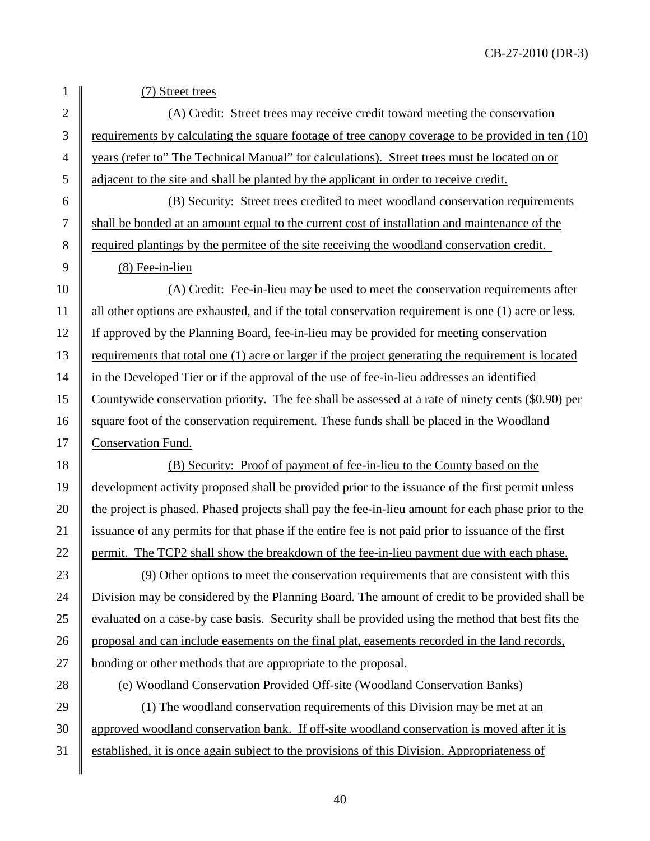#### 1 (7) Street trees

2 (A) Credit: Street trees may receive credit toward meeting the conservation  $3 \parallel$  requirements by calculating the square footage of tree canopy coverage to be provided in ten (10) 4 years (refer to" The Technical Manual" for calculations). Street trees must be located on or 5 adjacent to the site and shall be planted by the applicant in order to receive credit.

6 (B) Security: Street trees credited to meet woodland conservation requirements 7 shall be bonded at an amount equal to the current cost of installation and maintenance of the 8 conservation credit.  $9 \parallel$  (8) Fee-in-lieu

 (A) Credit: Fee-in-lieu may be used to meet the conservation requirements after all other options are exhausted, and if the total conservation requirement is one (1) acre or less. If approved by the Planning Board, fee-in-lieu may be provided for meeting conservation 13 Tequirements that total one (1) acre or larger if the project generating the requirement is located in the Developed Tier or if the approval of the use of fee-in-lieu addresses an identified Countywide conservation priority. The fee shall be assessed at a rate of ninety cents (\$0.90) per 16 Square foot of the conservation requirement. These funds shall be placed in the Woodland 17 | Conservation Fund.

18 (B) Security: Proof of payment of fee-in-lieu to the County based on the 19 development activity proposed shall be provided prior to the issuance of the first permit unless 20 the project is phased. Phased projects shall pay the fee-in-lieu amount for each phase prior to the 21 | issuance of any permits for that phase if the entire fee is not paid prior to issuance of the first 22 permit. The TCP2 shall show the breakdown of the fee-in-lieu payment due with each phase.

23  $\parallel$  (9) Other options to meet the conservation requirements that are consistent with this 24 Division may be considered by the Planning Board. The amount of credit to be provided shall be 25 evaluated on a case-by case basis. Security shall be provided using the method that best fits the 26 proposal and can include easements on the final plat, easements recorded in the land records, 27 bonding or other methods that are appropriate to the proposal.

28 (e) Woodland Conservation Provided Off-site (Woodland Conservation Banks)

29  $\parallel$  (1) The woodland conservation requirements of this Division may be met at an  $30 \parallel$  approved woodland conservation bank. If off-site woodland conservation is moved after it is 31 established, it is once again subject to the provisions of this Division. Appropriateness of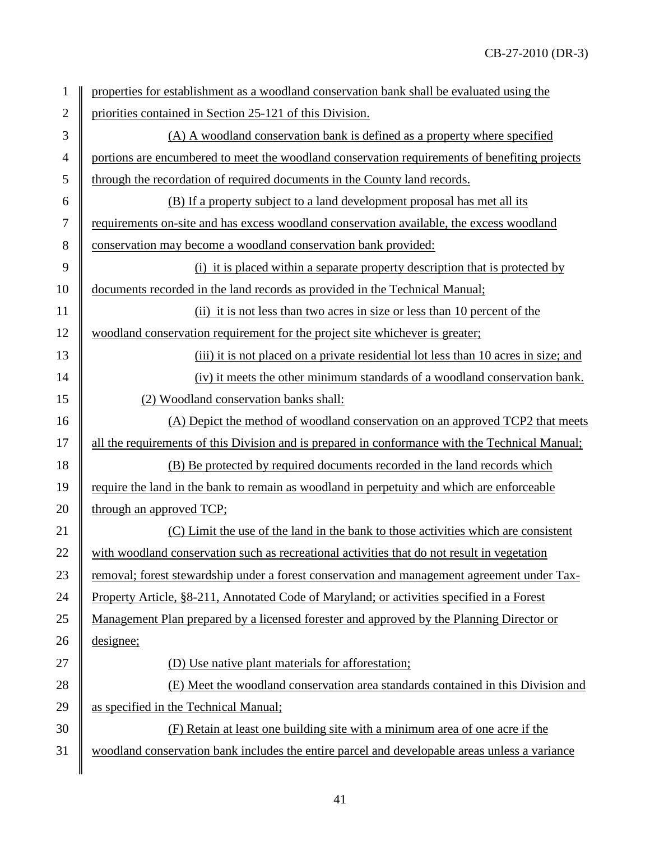| 1              | properties for establishment as a woodland conservation bank shall be evaluated using the       |  |  |
|----------------|-------------------------------------------------------------------------------------------------|--|--|
| $\overline{2}$ | priorities contained in Section 25-121 of this Division.                                        |  |  |
| 3              | (A) A woodland conservation bank is defined as a property where specified                       |  |  |
| $\overline{4}$ | portions are encumbered to meet the woodland conservation requirements of benefiting projects   |  |  |
| 5              | through the recordation of required documents in the County land records.                       |  |  |
| 6              | (B) If a property subject to a land development proposal has met all its                        |  |  |
| $\tau$         | requirements on-site and has excess woodland conservation available, the excess woodland        |  |  |
| 8              | conservation may become a woodland conservation bank provided:                                  |  |  |
| 9              | (i) it is placed within a separate property description that is protected by                    |  |  |
| 10             | documents recorded in the land records as provided in the Technical Manual;                     |  |  |
| 11             | (ii) it is not less than two acres in size or less than 10 percent of the                       |  |  |
| 12             | woodland conservation requirement for the project site whichever is greater;                    |  |  |
| 13             | (iii) it is not placed on a private residential lot less than 10 acres in size; and             |  |  |
| 14             | (iv) it meets the other minimum standards of a woodland conservation bank.                      |  |  |
| 15             | (2) Woodland conservation banks shall:                                                          |  |  |
| 16             | (A) Depict the method of woodland conservation on an approved TCP2 that meets                   |  |  |
| 17             | all the requirements of this Division and is prepared in conformance with the Technical Manual; |  |  |
| 18             | (B) Be protected by required documents recorded in the land records which                       |  |  |
| 19             | require the land in the bank to remain as woodland in perpetuity and which are enforceable      |  |  |
| 20             | through an approved TCP;                                                                        |  |  |
| 21             | (C) Limit the use of the land in the bank to those activities which are consistent              |  |  |
| 22             | with woodland conservation such as recreational activities that do not result in vegetation     |  |  |
| 23             | removal; forest stewardship under a forest conservation and management agreement under Tax-     |  |  |
| 24             | Property Article, §8-211, Annotated Code of Maryland; or activities specified in a Forest       |  |  |
| 25             | Management Plan prepared by a licensed forester and approved by the Planning Director or        |  |  |
| 26             | designee;                                                                                       |  |  |
| 27             | (D) Use native plant materials for afforestation;                                               |  |  |
| 28             | (E) Meet the woodland conservation area standards contained in this Division and                |  |  |
| 29             | as specified in the Technical Manual;                                                           |  |  |
| 30             | (F) Retain at least one building site with a minimum area of one acre if the                    |  |  |
| 31             | woodland conservation bank includes the entire parcel and developable areas unless a variance   |  |  |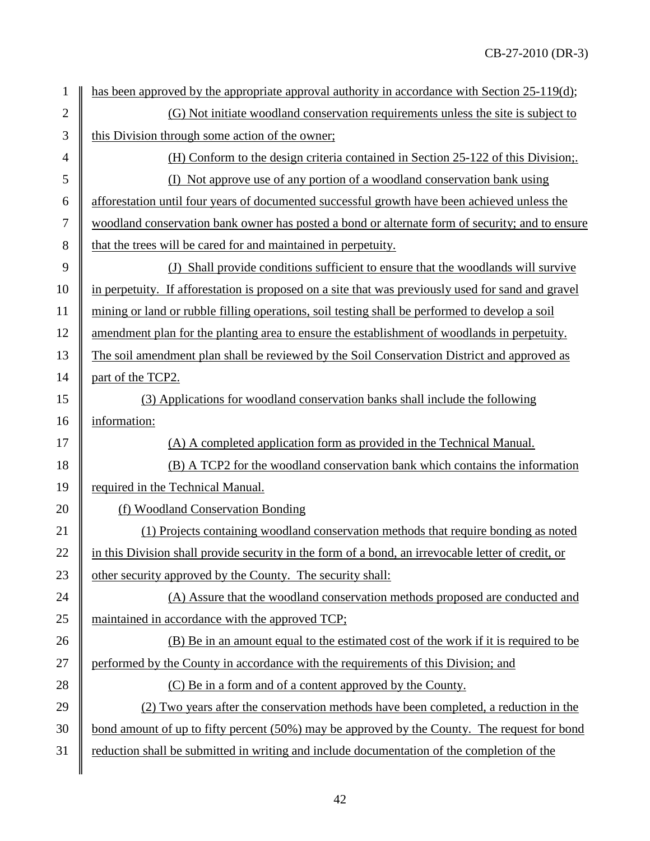| 1              | has been approved by the appropriate approval authority in accordance with Section 25-119(d);      |  |  |
|----------------|----------------------------------------------------------------------------------------------------|--|--|
| $\overline{2}$ | (G) Not initiate woodland conservation requirements unless the site is subject to                  |  |  |
| $\mathfrak{Z}$ | this Division through some action of the owner;                                                    |  |  |
| $\overline{4}$ | (H) Conform to the design criteria contained in Section 25-122 of this Division;                   |  |  |
| 5              | (I) Not approve use of any portion of a woodland conservation bank using                           |  |  |
| 6              | afforestation until four years of documented successful growth have been achieved unless the       |  |  |
| 7              | woodland conservation bank owner has posted a bond or alternate form of security; and to ensure    |  |  |
| 8              | that the trees will be cared for and maintained in perpetuity.                                     |  |  |
| 9              | (J) Shall provide conditions sufficient to ensure that the woodlands will survive                  |  |  |
| 10             | in perpetuity. If afforestation is proposed on a site that was previously used for sand and gravel |  |  |
| 11             | mining or land or rubble filling operations, soil testing shall be performed to develop a soil     |  |  |
| 12             | amendment plan for the planting area to ensure the establishment of woodlands in perpetuity.       |  |  |
| 13             | The soil amendment plan shall be reviewed by the Soil Conservation District and approved as        |  |  |
| 14             | part of the TCP2.                                                                                  |  |  |
| 15             | (3) Applications for woodland conservation banks shall include the following                       |  |  |
| 16             | information:                                                                                       |  |  |
| 17             | (A) A completed application form as provided in the Technical Manual.                              |  |  |
| 18             | (B) A TCP2 for the woodland conservation bank which contains the information                       |  |  |
| 19             | required in the Technical Manual.                                                                  |  |  |
| 20             | (f) Woodland Conservation Bonding                                                                  |  |  |
| 21             | (1) Projects containing woodland conservation methods that require bonding as noted                |  |  |
| 22             | in this Division shall provide security in the form of a bond, an irrevocable letter of credit, or |  |  |
| 23             | other security approved by the County. The security shall:                                         |  |  |
| 24             | (A) Assure that the woodland conservation methods proposed are conducted and                       |  |  |
| 25             | maintained in accordance with the approved TCP;                                                    |  |  |
| 26             | (B) Be in an amount equal to the estimated cost of the work if it is required to be                |  |  |
| 27             | performed by the County in accordance with the requirements of this Division; and                  |  |  |
| 28             | (C) Be in a form and of a content approved by the County.                                          |  |  |
| 29             | (2) Two years after the conservation methods have been completed, a reduction in the               |  |  |
| 30             | bond amount of up to fifty percent (50%) may be approved by the County. The request for bond       |  |  |
| 31             | reduction shall be submitted in writing and include documentation of the completion of the         |  |  |
|                |                                                                                                    |  |  |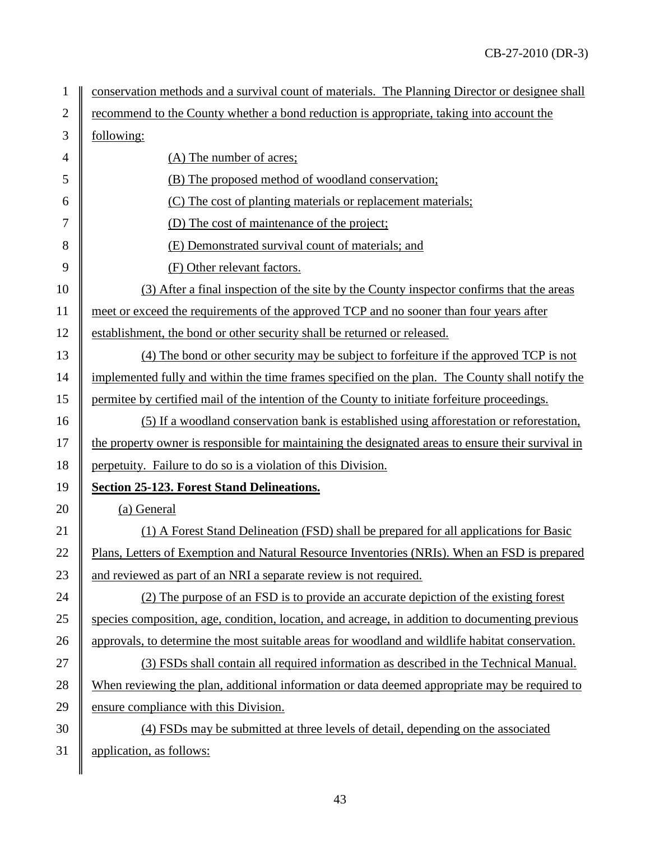| 1              | conservation methods and a survival count of materials. The Planning Director or designee shall    |  |  |
|----------------|----------------------------------------------------------------------------------------------------|--|--|
| $\overline{2}$ | recommend to the County whether a bond reduction is appropriate, taking into account the           |  |  |
| $\mathfrak{Z}$ | following:                                                                                         |  |  |
| 4              | (A) The number of acres;                                                                           |  |  |
| 5              | (B) The proposed method of woodland conservation;                                                  |  |  |
| 6              | (C) The cost of planting materials or replacement materials;                                       |  |  |
| 7              | (D) The cost of maintenance of the project;                                                        |  |  |
| 8              | (E) Demonstrated survival count of materials; and                                                  |  |  |
| 9              | (F) Other relevant factors.                                                                        |  |  |
| 10             | (3) After a final inspection of the site by the County inspector confirms that the areas           |  |  |
| 11             | meet or exceed the requirements of the approved TCP and no sooner than four years after            |  |  |
| 12             | establishment, the bond or other security shall be returned or released.                           |  |  |
| 13             | (4) The bond or other security may be subject to forfeiture if the approved TCP is not             |  |  |
| 14             | implemented fully and within the time frames specified on the plan. The County shall notify the    |  |  |
| 15             | permitee by certified mail of the intention of the County to initiate forfeiture proceedings.      |  |  |
| 16             | (5) If a woodland conservation bank is established using afforestation or reforestation,           |  |  |
| 17             | the property owner is responsible for maintaining the designated areas to ensure their survival in |  |  |
| 18             | perpetuity. Failure to do so is a violation of this Division.                                      |  |  |
| 19             | <b>Section 25-123. Forest Stand Delineations.</b>                                                  |  |  |
| 20             | (a) General                                                                                        |  |  |
| 21             | (1) A Forest Stand Delineation (FSD) shall be prepared for all applications for Basic              |  |  |
| 22             | Plans, Letters of Exemption and Natural Resource Inventories (NRIs). When an FSD is prepared       |  |  |
| 23             | and reviewed as part of an NRI a separate review is not required.                                  |  |  |
| 24             | (2) The purpose of an FSD is to provide an accurate depiction of the existing forest               |  |  |
| 25             | species composition, age, condition, location, and acreage, in addition to documenting previous    |  |  |
| 26             | approvals, to determine the most suitable areas for woodland and wildlife habitat conservation.    |  |  |
| 27             | (3) FSDs shall contain all required information as described in the Technical Manual.              |  |  |
| 28             | When reviewing the plan, additional information or data deemed appropriate may be required to      |  |  |
| 29             | ensure compliance with this Division.                                                              |  |  |
| 30             | (4) FSDs may be submitted at three levels of detail, depending on the associated                   |  |  |
| 31             | application, as follows:                                                                           |  |  |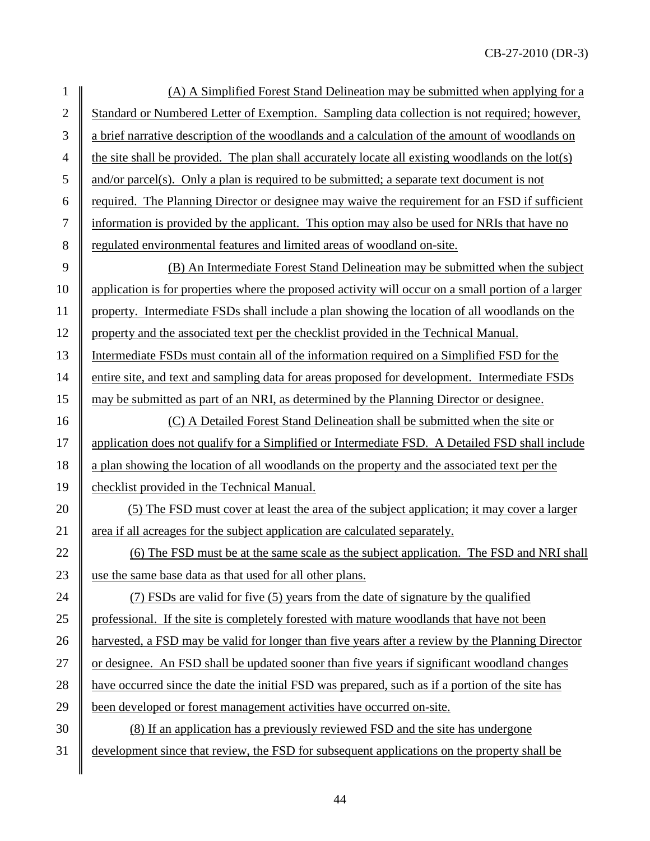1 (A) A Simplified Forest Stand Delineation may be submitted when applying for a 2 Standard or Numbered Letter of Exemption. Sampling data collection is not required; however, 3 a brief narrative description of the woodlands and a calculation of the amount of woodlands on 4 the site shall be provided. The plan shall accurately locate all existing woodlands on the lot(s)  $5 \parallel$  and/or parcel(s). Only a plan is required to be submitted; a separate text document is not  $6 \parallel$  required. The Planning Director or designee may waive the requirement for an FSD if sufficient 7 information is provided by the applicant. This option may also be used for NRIs that have no 8 general sequence and limited areas of woodland on-site. 9 (B) An Intermediate Forest Stand Delineation may be submitted when the subject 10 application is for properties where the proposed activity will occur on a small portion of a larger 11 property. Intermediate FSDs shall include a plan showing the location of all woodlands on the 12 property and the associated text per the checklist provided in the Technical Manual. 13 Intermediate FSDs must contain all of the information required on a Simplified FSD for the

14 entire site, and text and sampling data for areas proposed for development. Intermediate FSDs 15 may be submitted as part of an NRI, as determined by the Planning Director or designee.

16 (C) A Detailed Forest Stand Delineation shall be submitted when the site or 17 | application does not qualify for a Simplified or Intermediate FSD. A Detailed FSD shall include 18 a plan showing the location of all woodlands on the property and the associated text per the 19 checklist provided in the Technical Manual.

20  $\parallel$  (5) The FSD must cover at least the area of the subject application; it may cover a larger 21 area if all acreages for the subject application are calculated separately.

22  $\parallel$  (6) The FSD must be at the same scale as the subject application. The FSD and NRI shall 23 use the same base data as that used for all other plans.

24 (7) FSDs are valid for five (5) years from the date of signature by the qualified 25 professional. If the site is completely forested with mature woodlands that have not been 26 **harvested, a FSD may be valid for longer than five years after a review by the Planning Director** 27 or designee. An FSD shall be updated sooner than five years if significant woodland changes 28 have occurred since the date the initial FSD was prepared, such as if a portion of the site has 29 been developed or forest management activities have occurred on-site.

30 (8) If an application has a previously reviewed FSD and the site has undergone 31 development since that review, the FSD for subsequent applications on the property shall be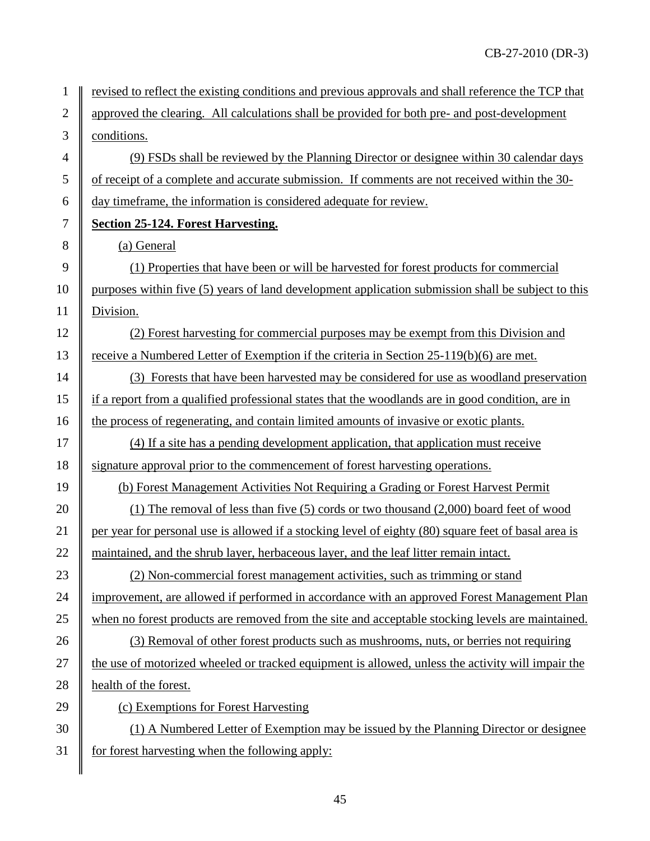1 | revised to reflect the existing conditions and previous approvals and shall reference the TCP that 2 approved the clearing. All calculations shall be provided for both pre- and post-development 3 conditions. 4  $\parallel$  (9) FSDs shall be reviewed by the Planning Director or designee within 30 calendar days

5 of receipt of a complete and accurate submission. If comments are not received within the 30- 6 day timeframe, the information is considered adequate for review.

## 7 **Section 25-124. Forest Harvesting.**

8 (a) General

9 (1) Properties that have been or will be harvested for forest products for commercial 10 purposes within five (5) years of land development application submission shall be subject to this 11 | Division.

12 (2) Forest harvesting for commercial purposes may be exempt from this Division and 13 Teceive a Numbered Letter of Exemption if the criteria in Section 25-119(b)(6) are met.

14 (3) Forests that have been harvested may be considered for use as woodland preservation 15 if a report from a qualified professional states that the woodlands are in good condition, are in 16 the process of regenerating, and contain limited amounts of invasive or exotic plants.

17  $\parallel$  (4) If a site has a pending development application, that application must receive 18 Signature approval prior to the commencement of forest harvesting operations.

19 (b) Forest Management Activities Not Requiring a Grading or Forest Harvest Permit

20 (1) The removal of less than five (5) cords or two thousand (2,000) board feet of wood 21 per year for personal use is allowed if a stocking level of eighty (80) square feet of basal area is 22 maintained, and the shrub layer, herbaceous layer, and the leaf litter remain intact.

23 (2) Non-commercial forest management activities, such as trimming or stand 24 improvement, are allowed if performed in accordance with an approved Forest Management Plan 25 when no forest products are removed from the site and acceptable stocking levels are maintained.

26 (3) Removal of other forest products such as mushrooms, nuts, or berries not requiring 27 the use of motorized wheeled or tracked equipment is allowed, unless the activity will impair the 28 **h**ealth of the forest.

29 (c) Exemptions for Forest Harvesting

 $30 \parallel$  (1) A Numbered Letter of Exemption may be issued by the Planning Director or designee  $31$  for forest harvesting when the following apply: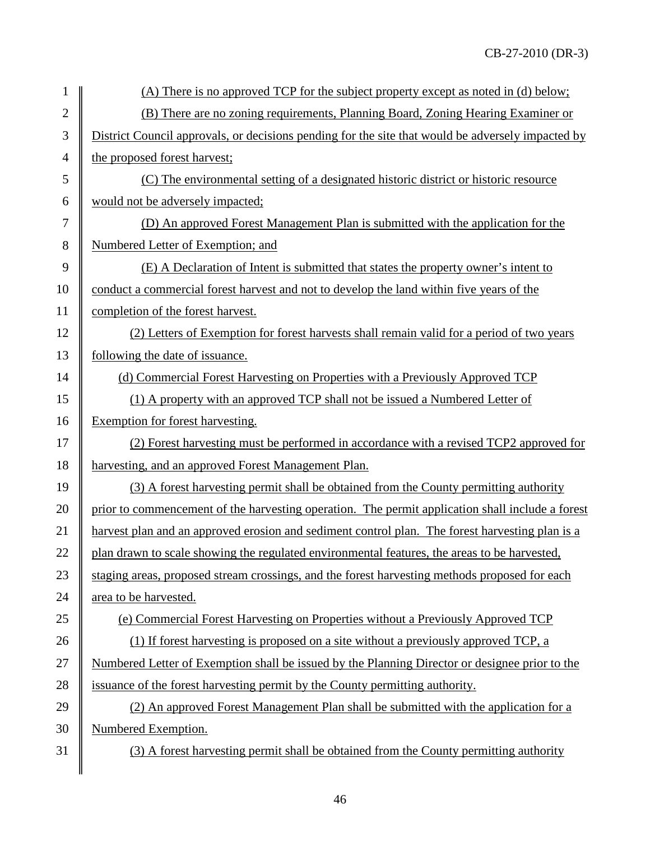| $\mathbf{1}$   | (A) There is no approved TCP for the subject property except as noted in (d) below;               |  |  |
|----------------|---------------------------------------------------------------------------------------------------|--|--|
| $\overline{2}$ | (B) There are no zoning requirements, Planning Board, Zoning Hearing Examiner or                  |  |  |
| 3              | District Council approvals, or decisions pending for the site that would be adversely impacted by |  |  |
| $\overline{4}$ | the proposed forest harvest;                                                                      |  |  |
| 5              | (C) The environmental setting of a designated historic district or historic resource              |  |  |
| 6              | would not be adversely impacted;                                                                  |  |  |
| 7              | (D) An approved Forest Management Plan is submitted with the application for the                  |  |  |
| 8              | Numbered Letter of Exemption; and                                                                 |  |  |
| 9              | (E) A Declaration of Intent is submitted that states the property owner's intent to               |  |  |
| 10             | conduct a commercial forest harvest and not to develop the land within five years of the          |  |  |
| 11             | completion of the forest harvest.                                                                 |  |  |
| 12             | (2) Letters of Exemption for forest harvests shall remain valid for a period of two years         |  |  |
| 13             | following the date of issuance.                                                                   |  |  |
| 14             | (d) Commercial Forest Harvesting on Properties with a Previously Approved TCP                     |  |  |
| 15             | (1) A property with an approved TCP shall not be issued a Numbered Letter of                      |  |  |
| 16             | Exemption for forest harvesting.                                                                  |  |  |
| 17             | (2) Forest harvesting must be performed in accordance with a revised TCP2 approved for            |  |  |
| 18             | harvesting, and an approved Forest Management Plan.                                               |  |  |
| 19             | (3) A forest harvesting permit shall be obtained from the County permitting authority             |  |  |
| 20             | prior to commencement of the harvesting operation. The permit application shall include a forest  |  |  |
| 21             | harvest plan and an approved erosion and sediment control plan. The forest harvesting plan is a   |  |  |
| 22             | plan drawn to scale showing the regulated environmental features, the areas to be harvested,      |  |  |
| 23             | staging areas, proposed stream crossings, and the forest harvesting methods proposed for each     |  |  |
| 24             | area to be harvested.                                                                             |  |  |
| 25             | (e) Commercial Forest Harvesting on Properties without a Previously Approved TCP                  |  |  |
| 26             | (1) If forest harvesting is proposed on a site without a previously approved TCP, a               |  |  |
| 27             | Numbered Letter of Exemption shall be issued by the Planning Director or designee prior to the    |  |  |
| 28             | issuance of the forest harvesting permit by the County permitting authority.                      |  |  |
| 29             | (2) An approved Forest Management Plan shall be submitted with the application for a              |  |  |
| 30             | Numbered Exemption.                                                                               |  |  |
| 31             | (3) A forest harvesting permit shall be obtained from the County permitting authority             |  |  |
|                |                                                                                                   |  |  |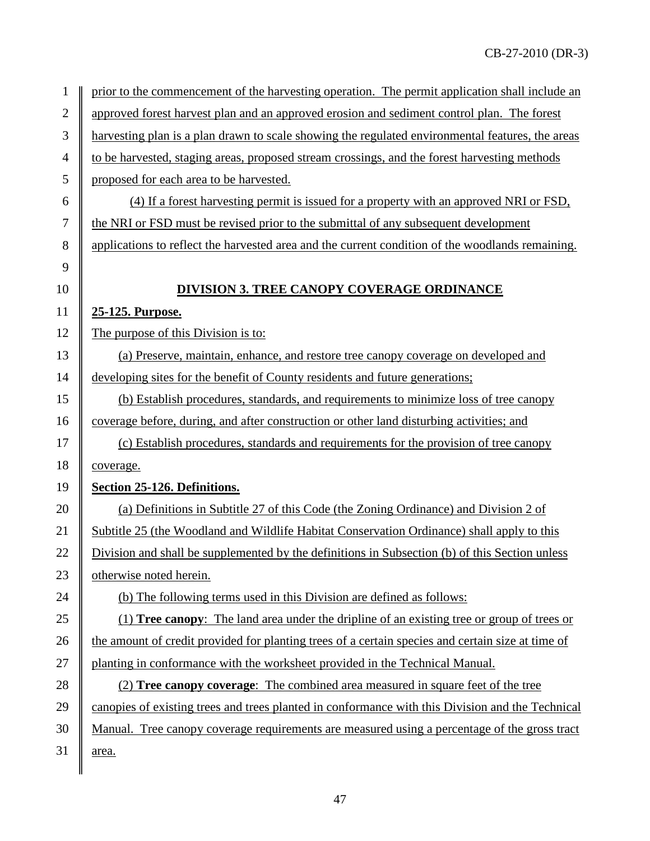| $\mathbf{1}$     | prior to the commencement of the harvesting operation. The permit application shall include an     |  |
|------------------|----------------------------------------------------------------------------------------------------|--|
| $\sqrt{2}$       | approved forest harvest plan and an approved erosion and sediment control plan. The forest         |  |
| 3                | harvesting plan is a plan drawn to scale showing the regulated environmental features, the areas   |  |
| $\overline{4}$   | to be harvested, staging areas, proposed stream crossings, and the forest harvesting methods       |  |
| 5                | proposed for each area to be harvested.                                                            |  |
| 6                | (4) If a forest harvesting permit is issued for a property with an approved NRI or FSD,            |  |
| $\boldsymbol{7}$ | the NRI or FSD must be revised prior to the submittal of any subsequent development                |  |
| $8\,$            | applications to reflect the harvested area and the current condition of the woodlands remaining.   |  |
| 9                |                                                                                                    |  |
| 10               | <b>DIVISION 3. TREE CANOPY COVERAGE ORDINANCE</b>                                                  |  |
| 11               | 25-125. Purpose.                                                                                   |  |
| 12               | The purpose of this Division is to:                                                                |  |
| 13               | (a) Preserve, maintain, enhance, and restore tree canopy coverage on developed and                 |  |
| 14               | developing sites for the benefit of County residents and future generations;                       |  |
| 15               | (b) Establish procedures, standards, and requirements to minimize loss of tree canopy              |  |
| 16               | coverage before, during, and after construction or other land disturbing activities; and           |  |
| 17               | (c) Establish procedures, standards and requirements for the provision of tree canopy              |  |
| 18               | coverage.                                                                                          |  |
| 19               | Section 25-126. Definitions.                                                                       |  |
| 20               | (a) Definitions in Subtitle 27 of this Code (the Zoning Ordinance) and Division 2 of               |  |
| 21               | Subtitle 25 (the Woodland and Wildlife Habitat Conservation Ordinance) shall apply to this         |  |
| 22               | Division and shall be supplemented by the definitions in Subsection (b) of this Section unless     |  |
| 23               | otherwise noted herein.                                                                            |  |
| 24               | (b) The following terms used in this Division are defined as follows:                              |  |
| 25               | (1) <b>Tree canopy</b> : The land area under the dripline of an existing tree or group of trees or |  |
| 26               | the amount of credit provided for planting trees of a certain species and certain size at time of  |  |
| 27               | planting in conformance with the worksheet provided in the Technical Manual.                       |  |
| 28               | (2) Tree canopy coverage: The combined area measured in square feet of the tree                    |  |
| 29               | canopies of existing trees and trees planted in conformance with this Division and the Technical   |  |
| 30               | Manual. Tree canopy coverage requirements are measured using a percentage of the gross tract       |  |
| 31               | area.                                                                                              |  |
|                  |                                                                                                    |  |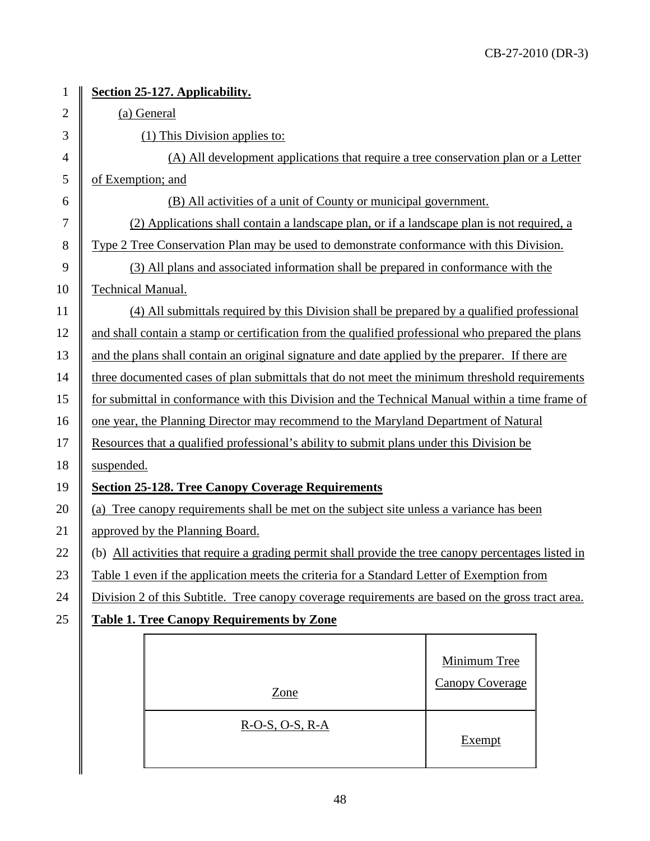| $\mathbf{1}$   | Section 25-127. Applicability.                                                                    |                                                                                                      |                        |  |
|----------------|---------------------------------------------------------------------------------------------------|------------------------------------------------------------------------------------------------------|------------------------|--|
| $\overline{2}$ | (a) General                                                                                       |                                                                                                      |                        |  |
| 3              | (1) This Division applies to:                                                                     |                                                                                                      |                        |  |
| $\overline{4}$ | (A) All development applications that require a tree conservation plan or a Letter                |                                                                                                      |                        |  |
| 5              | of Exemption; and                                                                                 |                                                                                                      |                        |  |
| 6              | (B) All activities of a unit of County or municipal government.                                   |                                                                                                      |                        |  |
| 7              | (2) Applications shall contain a landscape plan, or if a landscape plan is not required, a        |                                                                                                      |                        |  |
| 8              | Type 2 Tree Conservation Plan may be used to demonstrate conformance with this Division.          |                                                                                                      |                        |  |
| 9              | (3) All plans and associated information shall be prepared in conformance with the                |                                                                                                      |                        |  |
| 10             | <b>Technical Manual.</b>                                                                          |                                                                                                      |                        |  |
| 11             | (4) All submittals required by this Division shall be prepared by a qualified professional        |                                                                                                      |                        |  |
| 12             | and shall contain a stamp or certification from the qualified professional who prepared the plans |                                                                                                      |                        |  |
| 13             | and the plans shall contain an original signature and date applied by the preparer. If there are  |                                                                                                      |                        |  |
| 14             | three documented cases of plan submittals that do not meet the minimum threshold requirements     |                                                                                                      |                        |  |
| 15             | for submittal in conformance with this Division and the Technical Manual within a time frame of   |                                                                                                      |                        |  |
| 16             |                                                                                                   | one year, the Planning Director may recommend to the Maryland Department of Natural                  |                        |  |
| 17             | Resources that a qualified professional's ability to submit plans under this Division be          |                                                                                                      |                        |  |
| 18             | suspended.                                                                                        |                                                                                                      |                        |  |
| 19             | <b>Section 25-128. Tree Canopy Coverage Requirements</b>                                          |                                                                                                      |                        |  |
| 20             |                                                                                                   | (a) Tree canopy requirements shall be met on the subject site unless a variance has been             |                        |  |
| 21             |                                                                                                   | approved by the Planning Board.                                                                      |                        |  |
| 22             |                                                                                                   | (b) All activities that require a grading permit shall provide the tree canopy percentages listed in |                        |  |
| 23             |                                                                                                   | Table 1 even if the application meets the criteria for a Standard Letter of Exemption from           |                        |  |
| 24             |                                                                                                   | Division 2 of this Subtitle. Tree canopy coverage requirements are based on the gross tract area.    |                        |  |
| 25             | <b>Table 1. Tree Canopy Requirements by Zone</b>                                                  |                                                                                                      |                        |  |
|                |                                                                                                   |                                                                                                      |                        |  |
|                |                                                                                                   |                                                                                                      | Minimum Tree           |  |
|                |                                                                                                   | Zone                                                                                                 | <b>Canopy Coverage</b> |  |
|                |                                                                                                   | $R-O-S, O-S, R-A$                                                                                    |                        |  |
|                |                                                                                                   |                                                                                                      | Exempt                 |  |
|                |                                                                                                   |                                                                                                      |                        |  |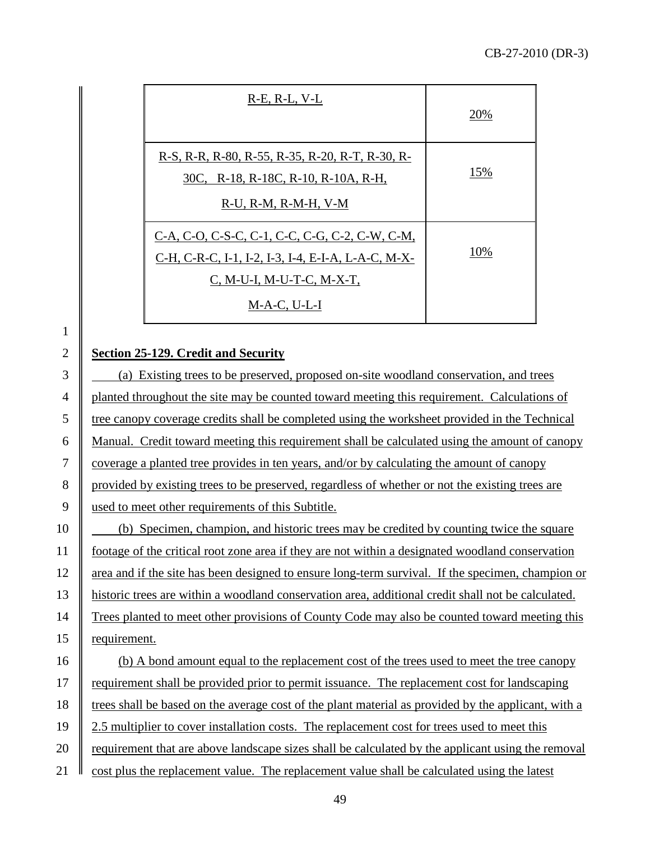| $R-E$ , $R-L$ , $V-L$                                                                                                                               | 20% |
|-----------------------------------------------------------------------------------------------------------------------------------------------------|-----|
| R-S, R-R, R-80, R-55, R-35, R-20, R-T, R-30, R-<br>30C, R-18, R-18C, R-10, R-10A, R-H,<br>$R-U$ , $R-M$ , $R-M-H$ , $V-M$                           | 15% |
| C-A, C-O, C-S-C, C-1, C-C, C-G, C-2, C-W, C-M,<br>C-H, C-R-C, I-1, I-2, I-3, I-4, E-I-A, L-A-C, M-X-<br>C, M-U-I, M-U-T-C, M-X-T,<br>$M-A-C, U-L-I$ | 10% |

## 2 **Section 25-129. Credit and Security**

 $3 \parallel$  (a) Existing trees to be preserved, proposed on-site woodland conservation, and trees <sup>4</sup> planted throughout the site may be counted toward meeting this requirement. Calculations of tree canopy coverage credits shall be completed using the worksheet provided in the Technical Manual. Credit toward meeting this requirement shall be calculated using the amount of canopy coverage a planted tree provides in ten years, and/or by calculating the amount of canopy 8 provided by existing trees to be preserved, regardless of whether or not the existing trees are used to meet other requirements of this Subtitle. (b) Specimen, champion, and historic trees may be credited by counting twice the square

11 footage of the critical root zone area if they are not within a designated woodland conservation 12 area and if the site has been designed to ensure long-term survival. If the specimen, champion or 13 historic trees are within a woodland conservation area, additional credit shall not be calculated. 14 Trees planted to meet other provisions of County Code may also be counted toward meeting this 15 | requirement.

16 (b) A bond amount equal to the replacement cost of the trees used to meet the tree canopy 17 Trequirement shall be provided prior to permit issuance. The replacement cost for landscaping 18 trees shall be based on the average cost of the plant material as provided by the applicant, with a 19 2.5 multiplier to cover installation costs. The replacement cost for trees used to meet this 20 **requirement that are above landscape sizes shall be calculated by the applicant using the removal** 21  $\parallel$  cost plus the replacement value. The replacement value shall be calculated using the latest

49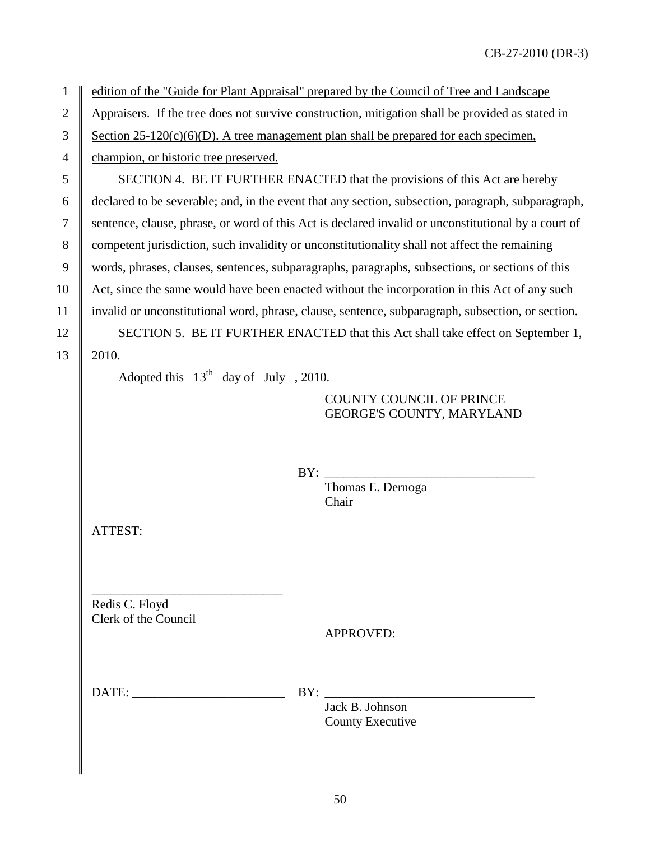1 edition of the "Guide for Plant Appraisal" prepared by the Council of Tree and Landscape

2 Appraisers. If the tree does not survive construction, mitigation shall be provided as stated in

3 Section 25-120(c)(6)(D). A tree management plan shall be prepared for each specimen,

4 **champion, or historic tree preserved.** 

5 SECTION 4. BE IT FURTHER ENACTED that the provisions of this Act are hereby 6 declared to be severable; and, in the event that any section, subsection, paragraph, subparagraph, 7 sentence, clause, phrase, or word of this Act is declared invalid or unconstitutional by a court of 8 competent jurisdiction, such invalidity or unconstitutionality shall not affect the remaining 9 words, phrases, clauses, sentences, subparagraphs, paragraphs, subsections, or sections of this 10 Act, since the same would have been enacted without the incorporation in this Act of any such 11 invalid or unconstitutional word, phrase, clause, sentence, subparagraph, subsection, or section. 12 SECTION 5. BE IT FURTHER ENACTED that this Act shall take effect on September 1,

 $13 \parallel 2010.$ 

Adopted this  $13<sup>th</sup>$  day of July , 2010.

### COUNTY COUNCIL OF PRINCE GEORGE'S COUNTY, MARYLAND

BY: \_\_\_\_\_\_\_\_\_\_\_\_\_\_\_\_\_\_\_\_\_\_\_\_\_\_\_\_\_\_\_\_\_

Thomas E. Dernoga Chair

ATTEST:

\_\_\_\_\_\_\_\_\_\_\_\_\_\_\_\_\_\_\_\_\_\_\_\_\_\_\_\_\_\_ Redis C. Floyd Clerk of the Council

APPROVED:

| $\sim$<br>--<br>--<br>the contract of the contract of the contract of the contract of the contract of the contract of the contract of | -<br>-- |
|---------------------------------------------------------------------------------------------------------------------------------------|---------|
|                                                                                                                                       |         |

Jack B. Johnson County Executive